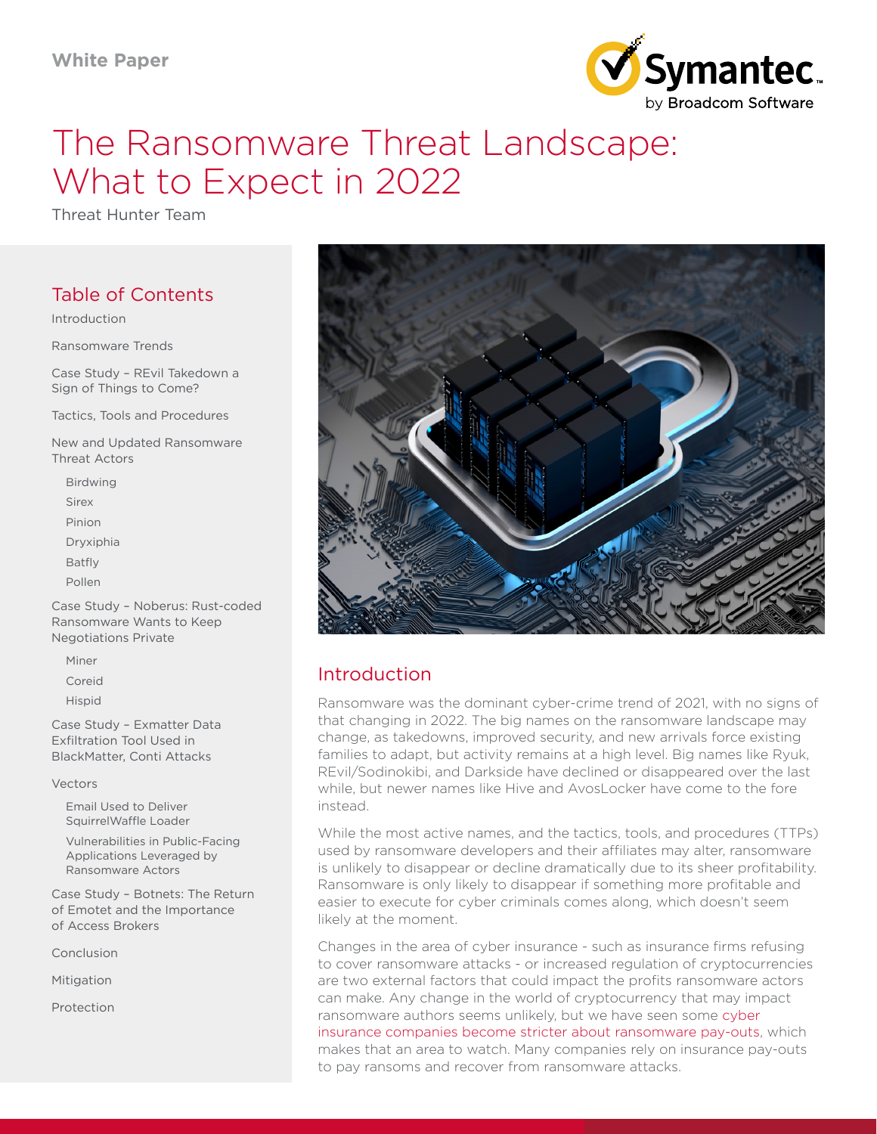

# The Ransomware Threat Landscape: What to Expect in 2022

Threat Hunter Team

# Table of Contents

Introduction

[Ransomware Trends](#page-1-0)

[Case Study – REvil Takedown a](#page-5-0)  [Sign of Things to Come?](#page-5-0)

[Tactics, Tools and Procedures](#page-5-0) 

[New and Updated Ransomware](#page-8-0)  [Threat Actors](#page-8-0)

[Birdwing](#page-8-0) [Sirex](#page-9-0) [Pinion](#page-9-0) [Dryxiphia](#page-10-0) [Batfly](#page-10-0) [Pollen](#page-11-0)

[Case Study – Noberus: Rust-coded](#page-12-0)  [Ransomware Wants to Keep](#page-12-0)  [Negotiations Private](#page-12-0)

[Miner](#page-13-0)

[Coreid](#page-13-0)

[Hispid](#page-14-0)

[Case Study – Exmatter Data](#page-15-0)  [Exfiltration Tool Used in](#page-15-0)  [BlackMatter, Conti Attacks](#page-15-0)

[Vectors](#page-15-0)

[Email Used to Deliver](#page-15-0)  [SquirrelWaffle Loader](#page-15-0)

[Vulnerabilities in Public-Facing](#page-16-0)  [Applications Leveraged by](#page-16-0)  [Ransomware Actors](#page-16-0)

[Case Study – Botnets: The Return](#page-17-0)  [of Emotet and the Importance](#page-17-0) [of Access Brokers](#page-17-0)

[Conclusion](#page-17-0)

[Mitigation](#page-19-0)

[Protection](#page-20-0)



# Introduction

Ransomware was the dominant cyber-crime trend of 2021, with no signs of that changing in 2022. The big names on the ransomware landscape may change, as takedowns, improved security, and new arrivals force existing families to adapt, but activity remains at a high level. Big names like Ryuk, REvil/Sodinokibi, and Darkside have declined or disappeared over the last while, but newer names like Hive and AvosLocker have come to the fore instead.

While the most active names, and the tactics, tools, and procedures (TTPs) used by ransomware developers and their affiliates may alter, ransomware is unlikely to disappear or decline dramatically due to its sheer profitability. Ransomware is only likely to disappear if something more profitable and easier to execute for cyber criminals comes along, which doesn't seem likely at the moment.

Changes in the area of cyber insurance - such as insurance firms refusing to cover ransomware attacks - or increased regulation of cryptocurrencies are two external factors that could impact the profits ransomware actors can make. Any change in the world of cryptocurrency that may impact ransomware authors seems unlikely, but we have seen some [cyber](https://www.insurancejournal.com/news/international/2021/05/09/613255.htm)  [insurance companies become stricter about ransomware pay-outs,](https://www.insurancejournal.com/news/international/2021/05/09/613255.htm) which makes that an area to watch. Many companies rely on insurance pay-outs to pay ransoms and recover from ransomware attacks.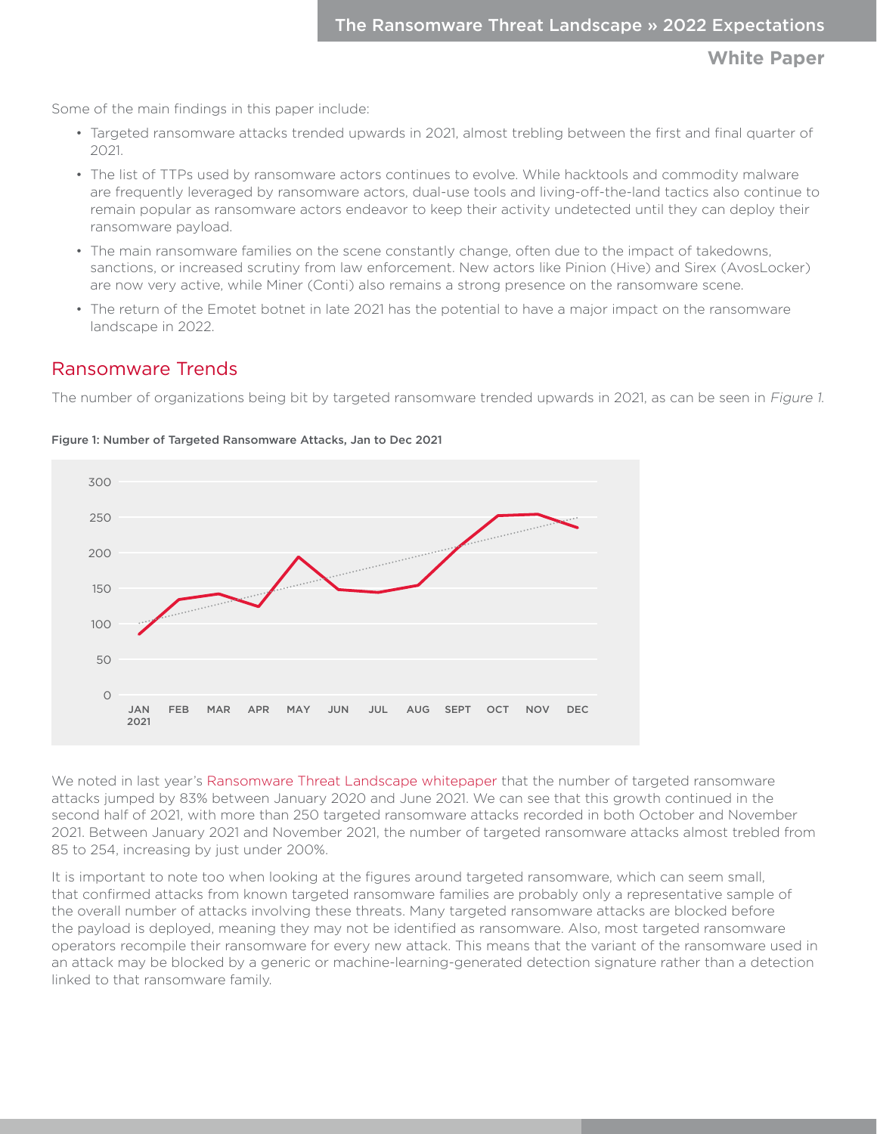<span id="page-1-0"></span>Some of the main findings in this paper include:

- Targeted ransomware attacks trended upwards in 2021, almost trebling between the first and final quarter of 2021.
- The list of TTPs used by ransomware actors continues to evolve. While hacktools and commodity malware are frequently leveraged by ransomware actors, dual-use tools and living-off-the-land tactics also continue to remain popular as ransomware actors endeavor to keep their activity undetected until they can deploy their ransomware payload.
- The main ransomware families on the scene constantly change, often due to the impact of takedowns, sanctions, or increased scrutiny from law enforcement. New actors like Pinion (Hive) and Sirex (AvosLocker) are now very active, while Miner (Conti) also remains a strong presence on the ransomware scene.
- The return of the Emotet botnet in late 2021 has the potential to have a major impact on the ransomware landscape in 2022.

## Ransomware Trends

The number of organizations being bit by targeted ransomware trended upwards in 2021, as can be seen in Figure 1.



Figure 1: Number of Targeted Ransomware Attacks, Jan to Dec 2021

We noted in last year's [Ransomware Threat Landscape whitepaper](https://symantec.drift.click/ransomware-threat-paper) that the number of targeted ransomware attacks jumped by 83% between January 2020 and June 2021. We can see that this growth continued in the second half of 2021, with more than 250 targeted ransomware attacks recorded in both October and November 2021. Between January 2021 and November 2021, the number of targeted ransomware attacks almost trebled from 85 to 254, increasing by just under 200%.

It is important to note too when looking at the figures around targeted ransomware, which can seem small, that confirmed attacks from known targeted ransomware families are probably only a representative sample of the overall number of attacks involving these threats. Many targeted ransomware attacks are blocked before the payload is deployed, meaning they may not be identified as ransomware. Also, most targeted ransomware operators recompile their ransomware for every new attack. This means that the variant of the ransomware used in an attack may be blocked by a generic or machine-learning-generated detection signature rather than a detection linked to that ransomware family.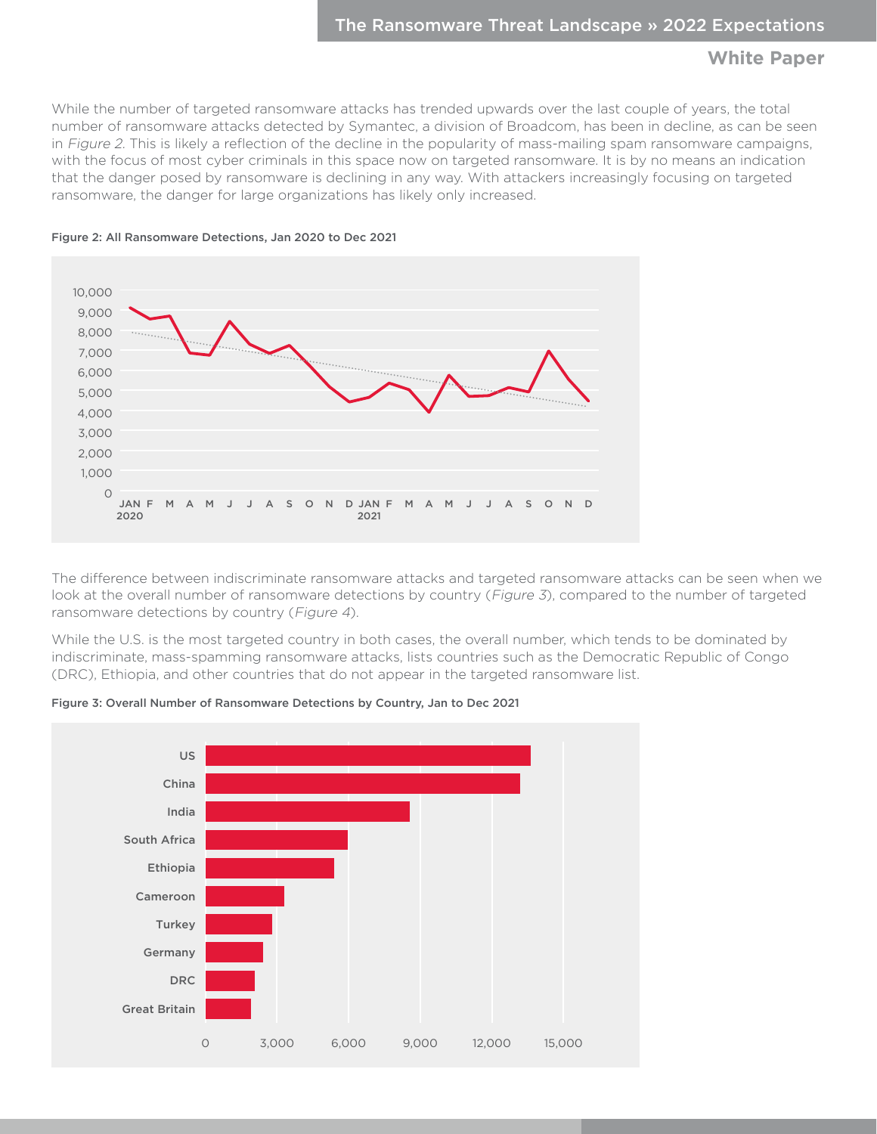While the number of targeted ransomware attacks has trended upwards over the last couple of years, the total number of ransomware attacks detected by Symantec, a division of Broadcom, has been in decline, as can be seen in Figure 2. This is likely a reflection of the decline in the popularity of mass-mailing spam ransomware campaigns, with the focus of most cyber criminals in this space now on targeted ransomware. It is by no means an indication that the danger posed by ransomware is declining in any way. With attackers increasingly focusing on targeted ransomware, the danger for large organizations has likely only increased.



Figure 2: All Ransomware Detections, Jan 2020 to Dec 2021

The difference between indiscriminate ransomware attacks and targeted ransomware attacks can be seen when we look at the overall number of ransomware detections by country (Figure 3), compared to the number of targeted ransomware detections by country (Figure 4).

While the U.S. is the most targeted country in both cases, the overall number, which tends to be dominated by indiscriminate, mass-spamming ransomware attacks, lists countries such as the Democratic Republic of Congo (DRC), Ethiopia, and other countries that do not appear in the targeted ransomware list.



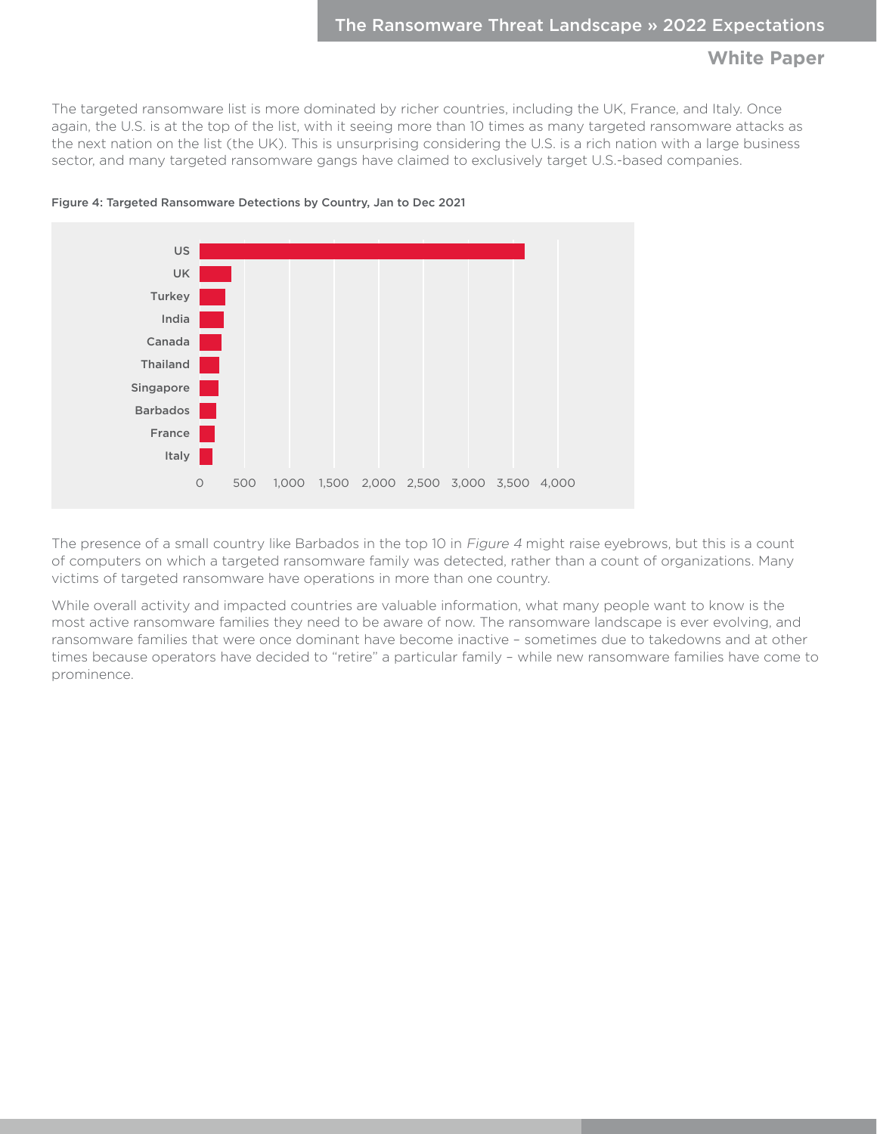The targeted ransomware list is more dominated by richer countries, including the UK, France, and Italy. Once again, the U.S. is at the top of the list, with it seeing more than 10 times as many targeted ransomware attacks as the next nation on the list (the UK). This is unsurprising considering the U.S. is a rich nation with a large business sector, and many targeted ransomware gangs have claimed to exclusively target U.S.-based companies.





The presence of a small country like Barbados in the top 10 in Figure 4 might raise eyebrows, but this is a count of computers on which a targeted ransomware family was detected, rather than a count of organizations. Many victims of targeted ransomware have operations in more than one country.

While overall activity and impacted countries are valuable information, what many people want to know is the most active ransomware families they need to be aware of now. The ransomware landscape is ever evolving, and ransomware families that were once dominant have become inactive – sometimes due to takedowns and at other times because operators have decided to "retire" a particular family – while new ransomware families have come to prominence.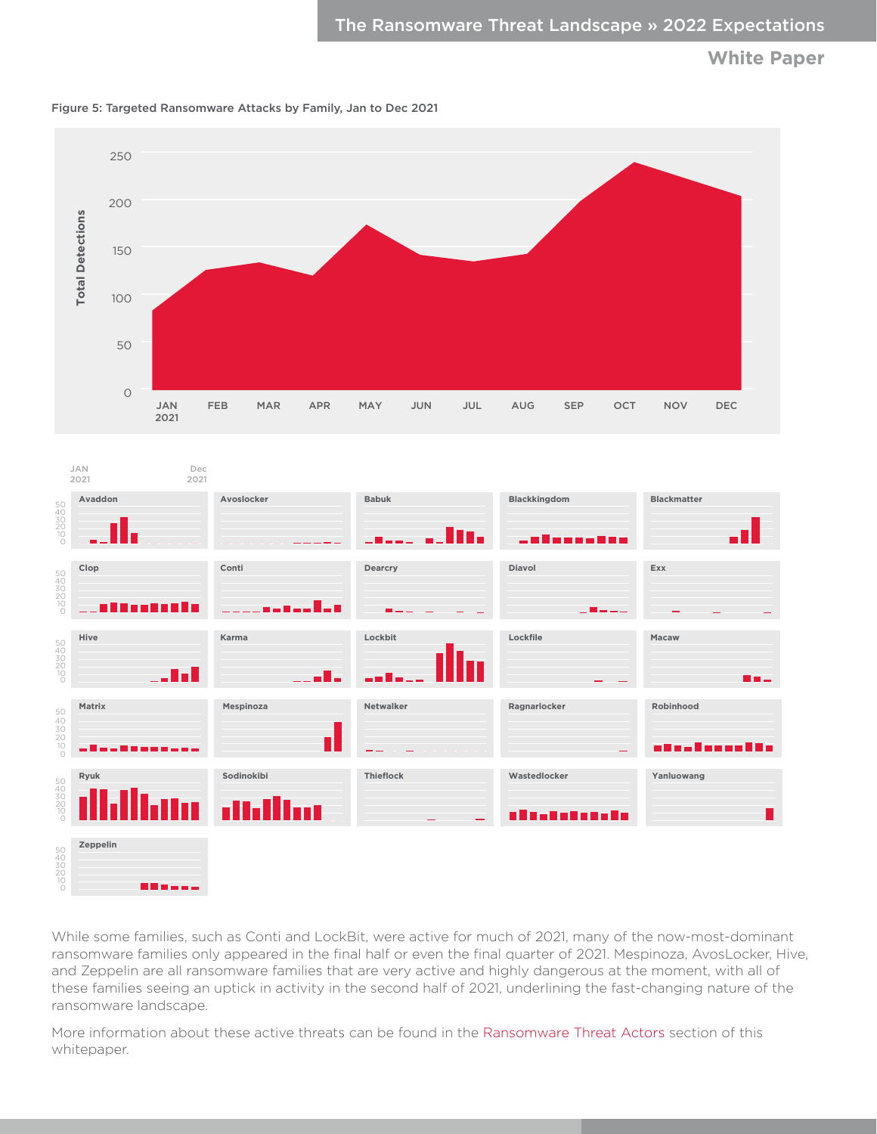

Figure 5: Targeted Ransomware Attacks by Family, Jan to Dec 2021

|                                  | <b>Total Detections</b>    | 150<br>100 |                        |             |            |            |              |            |     |              |                              |     |                                  |                    |  |
|----------------------------------|----------------------------|------------|------------------------|-------------|------------|------------|--------------|------------|-----|--------------|------------------------------|-----|----------------------------------|--------------------|--|
|                                  |                            | 50         |                        |             |            |            |              |            |     |              |                              |     |                                  |                    |  |
|                                  |                            | $\circ$    | $\mathsf{JAN}$<br>2021 | FEB         | <b>MAR</b> | <b>APR</b> | MAY          | <b>JUN</b> | JUL | AUG          | SEP                          | OCT | <b>NOV</b>                       | DEC                |  |
|                                  | JAN<br>2021                |            |                        | Dec<br>2021 |            |            |              |            |     |              |                              |     |                                  |                    |  |
| 50<br>40<br>30<br>20<br>10<br>0  | Avaddon                    |            |                        |             | Avoslocker |            | <b>Babuk</b> | In.        |     |              | Blackkingdom<br>a Basa a Bas |     |                                  | <b>Blackmatter</b> |  |
| 50<br>40<br>30<br>20<br>10<br>0  | Clop<br>I II I I I I I I I |            | Conti                  |             |            |            | Dearcry      |            |     | Diavol       |                              |     | Exx                              |                    |  |
| 50<br>40<br>30<br>20<br>20<br>00 | Hive                       |            |                        | Karma       |            |            | Lockbit      |            |     | Lockfile     |                              |     | Macaw                            |                    |  |
| 50<br>40<br>30<br>20<br>20<br>0  | Matrix<br>шL,              |            |                        |             | Mespinoza  | П          | Netwalker    |            |     | Ragnarlocker |                              |     | Robinhood<br>- 1 - - 1 - - - - 1 | T F                |  |
| 50<br>40<br>30<br>20<br>10<br>0  | Ryuk                       |            |                        | alla)       | Sodinokibi | lm         | Thieflock    |            |     | Wastedlocker | alastetetete                 |     | Yanluowang                       | П                  |  |
| 50<br>40<br>30<br>20<br>20<br>0  | Zeppelin                   |            | 80 x x x x             |             |            |            |              |            |     |              |                              |     |                                  |                    |  |

While some families, such as Conti and LockBit, were active for much of 2021, many of the now-most-dominant ransomware families only appeared in the final half or even the final quarter of 2021. Mespinoza, AvosLocker, Hive, and Zeppelin are all ransomware families that are very active and highly dangerous at the moment, with all of these families seeing an uptick in activity in the second half of 2021, underlining the fast-changing nature of the ransomware landscape.

More information about these active threats can be found in the [Ransomware Threat Actors](#page-8-1) section of this whitepaper.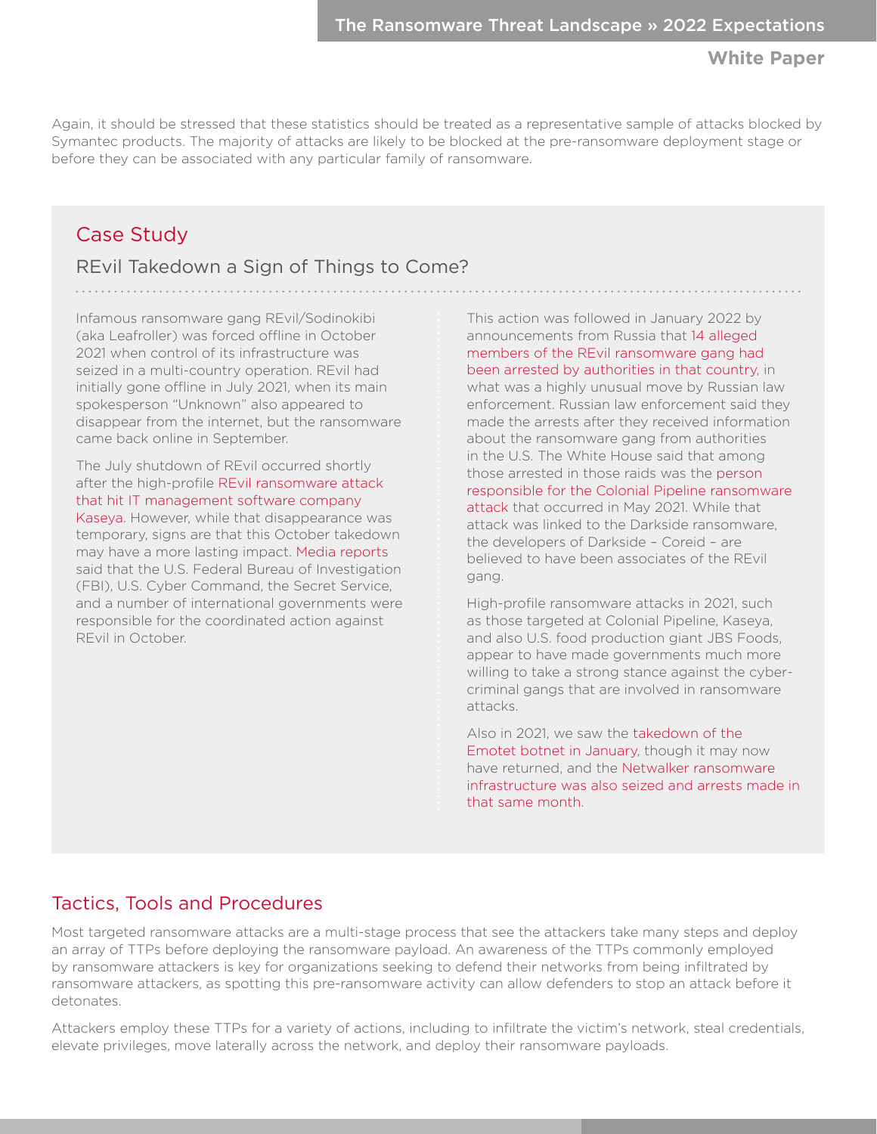Again, it should be stressed that these statistics should be treated as a representative sample of attacks blocked by Symantec products. The majority of attacks are likely to be blocked at the pre-ransomware deployment stage or before they can be associated with any particular family of ransomware.

# Case Study

# REvil Takedown a Sign of Things to Come?

<span id="page-5-0"></span>Case Study – REvil Takedown a Sign of Things to Come?

Infamous ransomware gang REvil/Sodinokibi (aka Leafroller) was forced offline in October 2021 when control of its infrastructure was seized in a multi-country operation. REvil had initially gone offline in July 2021, when its main spokesperson "Unknown" also appeared to disappear from the internet, but the ransomware came back online in September.

The July shutdown of REvil occurred shortly after the high-profile [REvil ransomware attack](https://symantec-enterprise-blogs.security.com/blogs/threat-intelligence/kaseya-ransomware-supply-chain)  [that hit IT management software company](https://symantec-enterprise-blogs.security.com/blogs/threat-intelligence/kaseya-ransomware-supply-chain)  [Kaseya.](https://symantec-enterprise-blogs.security.com/blogs/threat-intelligence/kaseya-ransomware-supply-chain) However, while that disappearance was temporary, signs are that this October takedown may have a more lasting impact. [Media reports](https://www.reuters.com/technology/exclusive-governments-turn-tables-ransomware-gang-revil-by-pushing-it-offline-2021-10-21/) said that the U.S. Federal Bureau of Investigation (FBI), U.S. Cyber Command, the Secret Service, and a number of international governments were responsible for the coordinated action against REvil in October.

This action was followed in January 2022 by announcements from Russia that [14 alleged](https://www.theregister.com/2022/01/14/russia_revil_ransomware_gang_charged/)  [members of the REvil ransomware gang had](https://www.theregister.com/2022/01/14/russia_revil_ransomware_gang_charged/)  [been arrested by authorities in that country](https://www.theregister.com/2022/01/14/russia_revil_ransomware_gang_charged/), in what was a highly unusual move by Russian law enforcement. Russian law enforcement said they made the arrests after they received information about the ransomware gang from authorities in the U.S. The White House said that among those arrested in those raids was the [person](https://www.zdnet.com/article/moscow-court-charges-8-revil-ransomware-hackers/)  [responsible for the Colonial Pipeline ransomware](https://www.zdnet.com/article/moscow-court-charges-8-revil-ransomware-hackers/)  [attack](https://www.zdnet.com/article/moscow-court-charges-8-revil-ransomware-hackers/) that occurred in May 2021. While that attack was linked to the Darkside ransomware, the developers of Darkside – Coreid – are believed to have been associates of the REvil gang.

High-profile ransomware attacks in 2021, such as those targeted at Colonial Pipeline, Kaseya, and also U.S. food production giant JBS Foods, appear to have made governments much more willing to take a strong stance against the cybercriminal gangs that are involved in ransomware attacks.

Also in 2021, we saw the [takedown of the](https://www.bleepingcomputer.com/news/security/emotet-botnet-disrupted-after-global-takedown-operation/)  [Emotet botnet in January,](https://www.bleepingcomputer.com/news/security/emotet-botnet-disrupted-after-global-takedown-operation/) though it may now have returned, and the [Netwalker ransomware](https://krebsonsecurity.com/2021/01/arrest-seizures-tied-to-netwalker-ransomware/)  [infrastructure was also seized and arrests made in](https://krebsonsecurity.com/2021/01/arrest-seizures-tied-to-netwalker-ransomware/)  [that same month.](https://krebsonsecurity.com/2021/01/arrest-seizures-tied-to-netwalker-ransomware/)

# Tactics, Tools and Procedures

Most targeted ransomware attacks are a multi-stage process that see the attackers take many steps and deploy an array of TTPs before deploying the ransomware payload. An awareness of the TTPs commonly employed by ransomware attackers is key for organizations seeking to defend their networks from being infiltrated by ransomware attackers, as spotting this pre-ransomware activity can allow defenders to stop an attack before it detonates.

Attackers employ these TTPs for a variety of actions, including to infiltrate the victim's network, steal credentials, elevate privileges, move laterally across the network, and deploy their ransomware payloads.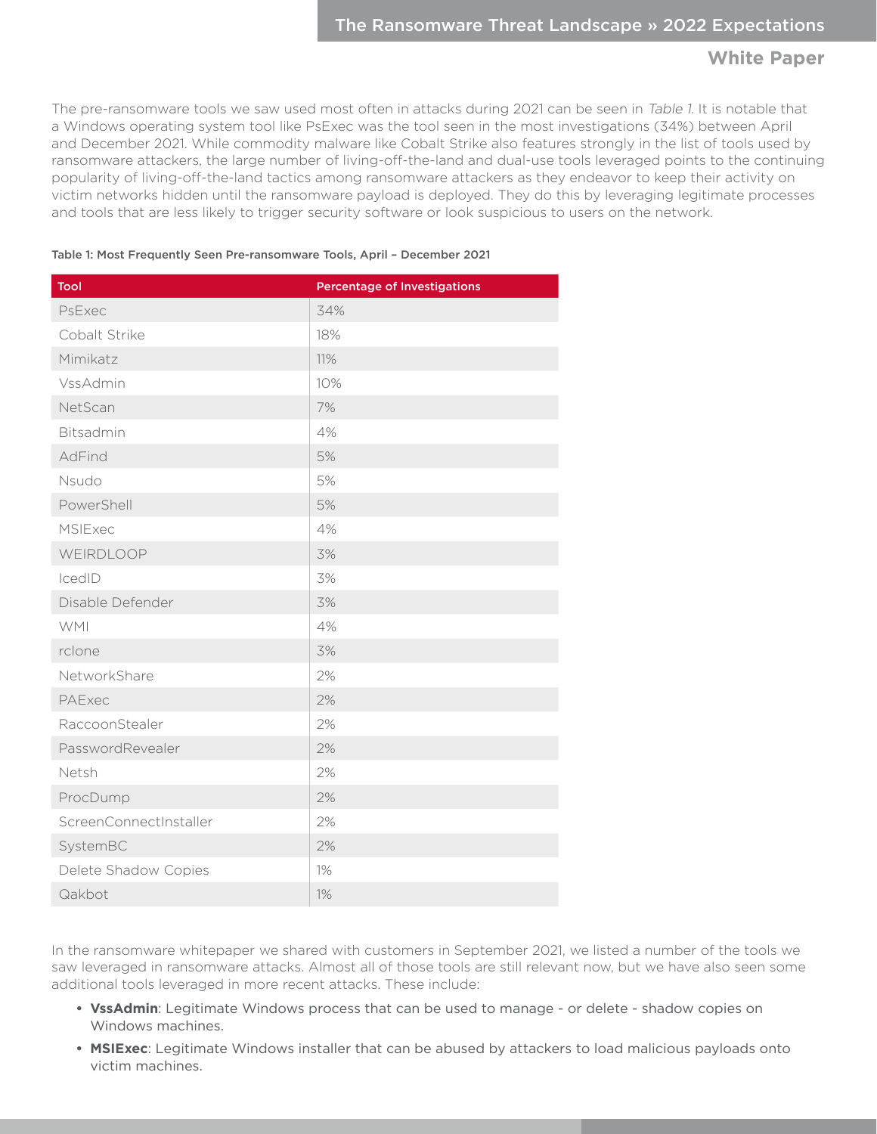The pre-ransomware tools we saw used most often in attacks during 2021 can be seen in Table 1. It is notable that a Windows operating system tool like PsExec was the tool seen in the most investigations (34%) between April and December 2021. While commodity malware like Cobalt Strike also features strongly in the list of tools used by ransomware attackers, the large number of living-off-the-land and dual-use tools leveraged points to the continuing popularity of living-off-the-land tactics among ransomware attackers as they endeavor to keep their activity on victim networks hidden until the ransomware payload is deployed. They do this by leveraging legitimate processes and tools that are less likely to trigger security software or look suspicious to users on the network.

#### Table 1: Most Frequently Seen Pre-ransomware Tools, April – December 2021

| Tool                   | <b>Percentage of Investigations</b> |  |  |  |  |  |
|------------------------|-------------------------------------|--|--|--|--|--|
| PsExec                 | 34%                                 |  |  |  |  |  |
| Cobalt Strike          | 18%                                 |  |  |  |  |  |
| Mimikatz               | 11%                                 |  |  |  |  |  |
| VssAdmin               | 10%                                 |  |  |  |  |  |
| NetScan                | 7%                                  |  |  |  |  |  |
| Bitsadmin              | 4%                                  |  |  |  |  |  |
| AdFind                 | 5%                                  |  |  |  |  |  |
| Nsudo                  | 5%                                  |  |  |  |  |  |
| PowerShell             | 5%                                  |  |  |  |  |  |
| <b>MSIExec</b>         | 4%                                  |  |  |  |  |  |
| WEIRDLOOP              | 3%                                  |  |  |  |  |  |
| IcedID                 | 3%                                  |  |  |  |  |  |
| Disable Defender       | 3%                                  |  |  |  |  |  |
| <b>WMI</b>             | 4%                                  |  |  |  |  |  |
| rclone                 | 3%                                  |  |  |  |  |  |
| NetworkShare           | 2%                                  |  |  |  |  |  |
| PAExec                 | 2%                                  |  |  |  |  |  |
| RaccoonStealer         | 2%                                  |  |  |  |  |  |
| PasswordRevealer       | 2%                                  |  |  |  |  |  |
| Netsh                  | 2%                                  |  |  |  |  |  |
| ProcDump               | 2%                                  |  |  |  |  |  |
| ScreenConnectInstaller | 2%                                  |  |  |  |  |  |
| SystemBC               | 2%                                  |  |  |  |  |  |
| Delete Shadow Copies   | 1%                                  |  |  |  |  |  |
| Qakbot                 | 1%                                  |  |  |  |  |  |

In the ransomware whitepaper we shared with customers in September 2021, we listed a number of the tools we saw leveraged in ransomware attacks. Almost all of those tools are still relevant now, but we have also seen some additional tools leveraged in more recent attacks. These include:

- **• VssAdmin**: Legitimate Windows process that can be used to manage or delete shadow copies on Windows machines.
- **• MSIExec**: Legitimate Windows installer that can be abused by attackers to load malicious payloads onto victim machines.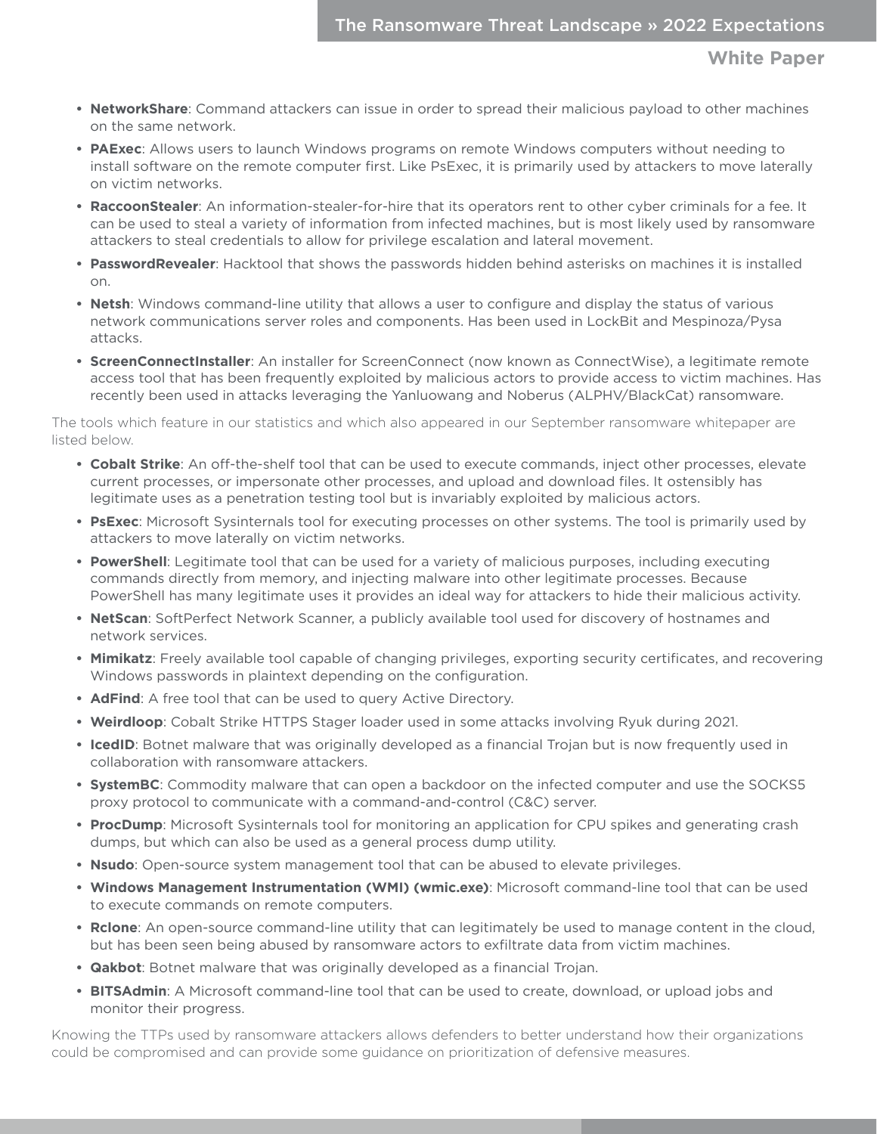- **• NetworkShare**: Command attackers can issue in order to spread their malicious payload to other machines on the same network.
- **• PAExec**: Allows users to launch Windows programs on remote Windows computers without needing to install software on the remote computer first. Like PsExec, it is primarily used by attackers to move laterally on victim networks.
- **• RaccoonStealer**: An information-stealer-for-hire that its operators rent to other cyber criminals for a fee. It can be used to steal a variety of information from infected machines, but is most likely used by ransomware attackers to steal credentials to allow for privilege escalation and lateral movement.
- **• PasswordRevealer**: Hacktool that shows the passwords hidden behind asterisks on machines it is installed on.
- **• Netsh**: Windows command-line utility that allows a user to configure and display the status of various network communications server roles and components. Has been used in LockBit and Mespinoza/Pysa attacks.
- **• ScreenConnectInstaller**: An installer for ScreenConnect (now known as ConnectWise), a legitimate remote access tool that has been frequently exploited by malicious actors to provide access to victim machines. Has recently been used in attacks leveraging the Yanluowang and Noberus (ALPHV/BlackCat) ransomware.

The tools which feature in our statistics and which also appeared in our September ransomware whitepaper are listed below.

- **• Cobalt Strike**: An off-the-shelf tool that can be used to execute commands, inject other processes, elevate current processes, or impersonate other processes, and upload and download files. It ostensibly has legitimate uses as a penetration testing tool but is invariably exploited by malicious actors.
- **• PsExec**: Microsoft Sysinternals tool for executing processes on other systems. The tool is primarily used by attackers to move laterally on victim networks.
- **• PowerShell**: Legitimate tool that can be used for a variety of malicious purposes, including executing commands directly from memory, and injecting malware into other legitimate processes. Because PowerShell has many legitimate uses it provides an ideal way for attackers to hide their malicious activity.
- **• NetScan**: SoftPerfect Network Scanner, a publicly available tool used for discovery of hostnames and network services.
- **• Mimikatz**: Freely available tool capable of changing privileges, exporting security certificates, and recovering Windows passwords in plaintext depending on the configuration.
- **• AdFind**: A free tool that can be used to query Active Directory.
- **• Weirdloop**: Cobalt Strike HTTPS Stager loader used in some attacks involving Ryuk during 2021.
- **• IcedID**: Botnet malware that was originally developed as a financial Trojan but is now frequently used in collaboration with ransomware attackers.
- **• SystemBC**: Commodity malware that can open a backdoor on the infected computer and use the SOCKS5 proxy protocol to communicate with a command-and-control (C&C) server.
- **• ProcDump**: Microsoft Sysinternals tool for monitoring an application for CPU spikes and generating crash dumps, but which can also be used as a general process dump utility.
- **• Nsudo**: Open-source system management tool that can be abused to elevate privileges.
- **• Windows Management Instrumentation (WMI) (wmic.exe)**: Microsoft command-line tool that can be used to execute commands on remote computers.
- **• Rclone**: An open-source command-line utility that can legitimately be used to manage content in the cloud, but has been seen being abused by ransomware actors to exfiltrate data from victim machines.
- **• Qakbot**: Botnet malware that was originally developed as a financial Trojan.
- **• BITSAdmin**: A Microsoft command-line tool that can be used to create, download, or upload jobs and monitor their progress.

Knowing the TTPs used by ransomware attackers allows defenders to better understand how their organizations could be compromised and can provide some guidance on prioritization of defensive measures.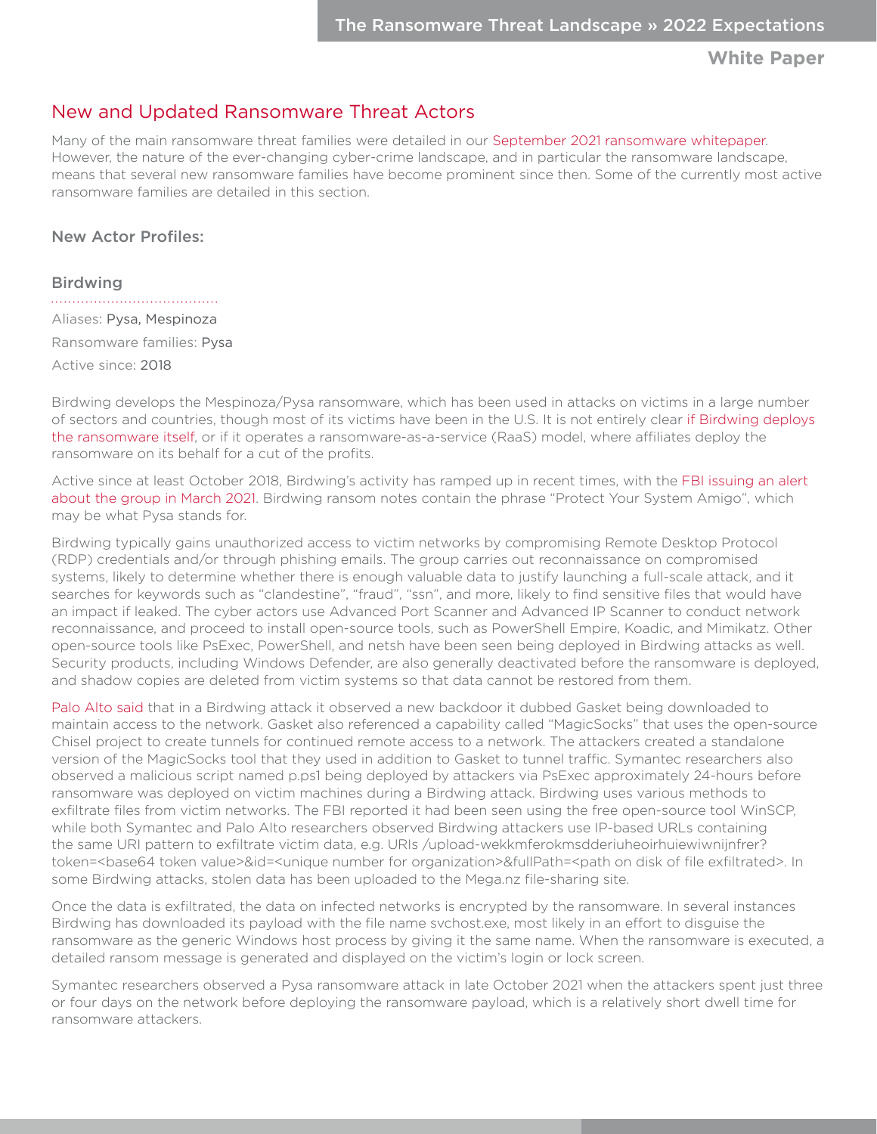# <span id="page-8-1"></span><span id="page-8-0"></span>New and Updated Ransomware Threat Actors

Many of the main ransomware threat families were detailed in our [September 2021 ransomware whitepaper](https://symantec.drift.click/ransomware-threat-paper). However, the nature of the ever-changing cyber-crime landscape, and in particular the ransomware landscape, means that several new ransomware families have become prominent since then. Some of the currently most active ransomware families are detailed in this section.

## New Actor Profiles:

### Birdwing

Aliases: Pysa, Mespinoza Ransomware families: Pysa Active since: 2018

Birdwing develops the Mespinoza/Pysa ransomware, which has been used in attacks on victims in a large number of sectors and countries, though most of its victims have been in the U.S. It is not entirely clear [if Birdwing deploys](https://www.cybereason.com/blog/threat-analysis-report-inside-the-destructive-pysa-ransomware)  [the ransomware itself](https://www.cybereason.com/blog/threat-analysis-report-inside-the-destructive-pysa-ransomware), or if it operates a ransomware-as-a-service (RaaS) model, where affiliates deploy the ransomware on its behalf for a cut of the profits.

Active since at least October 2018, Birdwing's activity has ramped up in recent times, with the [FBI issuing an alert](https://www.cisa.gov/stopransomware/fbi-flash-increase-pysa-ransomware-targeting-education-institutions)  [about the group in March 2021.](https://www.cisa.gov/stopransomware/fbi-flash-increase-pysa-ransomware-targeting-education-institutions) Birdwing ransom notes contain the phrase "Protect Your System Amigo", which may be what Pysa stands for.

Birdwing typically gains unauthorized access to victim networks by compromising Remote Desktop Protocol (RDP) credentials and/or through phishing emails. The group carries out reconnaissance on compromised systems, likely to determine whether there is enough valuable data to justify launching a full-scale attack, and it searches for keywords such as "clandestine", "fraud", "ssn", and more, likely to find sensitive files that would have an impact if leaked. The cyber actors use Advanced Port Scanner and Advanced IP Scanner to conduct network reconnaissance, and proceed to install open-source tools, such as PowerShell Empire, Koadic, and Mimikatz. Other open-source tools like PsExec, PowerShell, and netsh have been seen being deployed in Birdwing attacks as well. Security products, including Windows Defender, are also generally deactivated before the ransomware is deployed, and shadow copies are deleted from victim systems so that data cannot be restored from them.

[Palo Alto said](https://unit42.paloaltonetworks.com/gasket-and-magicsocks-tools-install-mespinoza-ransomware/) that in a Birdwing attack it observed a new backdoor it dubbed Gasket being downloaded to maintain access to the network. Gasket also referenced a capability called "MagicSocks" that uses the open-source Chisel project to create tunnels for continued remote access to a network. The attackers created a standalone version of the MagicSocks tool that they used in addition to Gasket to tunnel traffic. Symantec researchers also observed a malicious script named p.ps1 being deployed by attackers via PsExec approximately 24-hours before ransomware was deployed on victim machines during a Birdwing attack. Birdwing uses various methods to exfiltrate files from victim networks. The FBI reported it had been seen using the free open-source tool WinSCP, while both Symantec and Palo Alto researchers observed Birdwing attackers use IP-based URLs containing the same URI pattern to exfiltrate victim data, e.g. URIs /upload-wekkmferokmsdderiuheoirhuiewiwnijnfrer? token=<base64 token value>&id=<unique number for organization>&fullPath=<path on disk of file exfiltrated>. In some Birdwing attacks, stolen data has been uploaded to the Mega.nz file-sharing site.

Once the data is exfiltrated, the data on infected networks is encrypted by the ransomware. In several instances Birdwing has downloaded its payload with the file name svchost.exe, most likely in an effort to disguise the ransomware as the generic Windows host process by giving it the same name. When the ransomware is executed, a detailed ransom message is generated and displayed on the victim's login or lock screen.

Symantec researchers observed a Pysa ransomware attack in late October 2021 when the attackers spent just three or four days on the network before deploying the ransomware payload, which is a relatively short dwell time for ransomware attackers.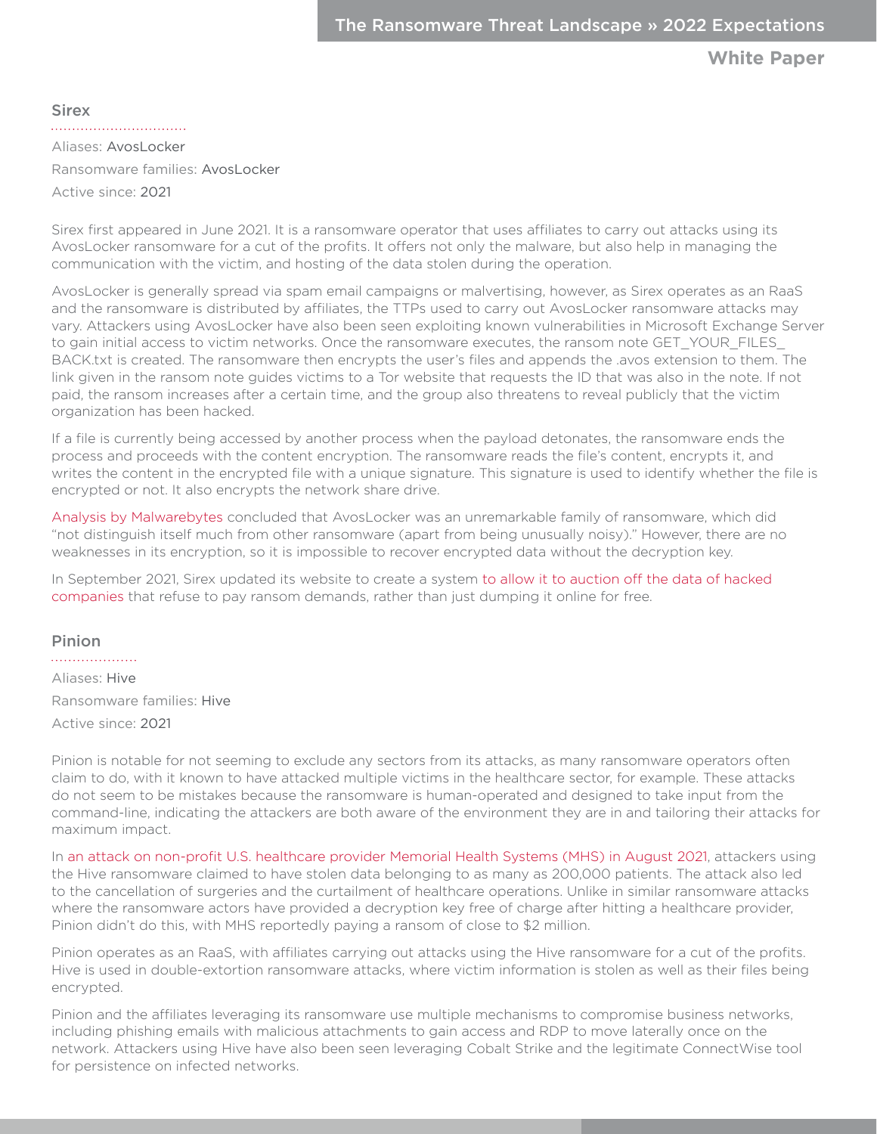<span id="page-9-0"></span>**Sirex** 

Aliases: AvosLocker

Ransomware families: AvosLocker

Active since: 2021

Sirex first appeared in June 2021. It is a ransomware operator that uses affiliates to carry out attacks using its AvosLocker ransomware for a cut of the profits. It offers not only the malware, but also help in managing the communication with the victim, and hosting of the data stolen during the operation.

AvosLocker is generally spread via spam email campaigns or malvertising, however, as Sirex operates as an RaaS and the ransomware is distributed by affiliates, the TTPs used to carry out AvosLocker ransomware attacks may vary. Attackers using AvosLocker have also been seen exploiting known vulnerabilities in Microsoft Exchange Server to gain initial access to victim networks. Once the ransomware executes, the ransom note GET\_YOUR\_FILES\_ BACK.txt is created. The ransomware then encrypts the user's files and appends the .avos extension to them. The link given in the ransom note guides victims to a Tor website that requests the ID that was also in the note. If not paid, the ransom increases after a certain time, and the group also threatens to reveal publicly that the victim organization has been hacked.

If a file is currently being accessed by another process when the payload detonates, the ransomware ends the process and proceeds with the content encryption. The ransomware reads the file's content, encrypts it, and writes the content in the encrypted file with a unique signature. This signature is used to identify whether the file is encrypted or not. It also encrypts the network share drive.

[Analysis by Malwarebytes](https://blog.malwarebytes.com/threat-analysis/2021/07/avoslocker-enters-the-ransomware-scene-asks-for-partners/) concluded that AvosLocker was an unremarkable family of ransomware, which did "not distinguish itself much from other ransomware (apart from being unusually noisy)." However, there are no weaknesses in its encryption, so it is impossible to recover encrypted data without the decryption key.

In September 2021, Sirex updated its website to create a system [to allow it to auction off the data of hacked](https://therecord.media/avoslocker-ransomware-gang-to-auction-the-data-of-victims-who-dont-pay/)  [companies](https://therecord.media/avoslocker-ransomware-gang-to-auction-the-data-of-victims-who-dont-pay/) that refuse to pay ransom demands, rather than just dumping it online for free.

### Pinion

. . . . . . . . . . . . . . . . . . . Aliases: Hive Ransomware families: Hive Active since: 2021

Pinion is notable for not seeming to exclude any sectors from its attacks, as many ransomware operators often claim to do, with it known to have attacked multiple victims in the healthcare sector, for example. These attacks do not seem to be mistakes because the ransomware is human-operated and designed to take input from the command-line, indicating the attackers are both aware of the environment they are in and tailoring their attacks for maximum impact.

In [an attack on non-profit U.S. healthcare provider Memorial Health Systems \(MHS\) in August 2021](https://www.bleepingcomputer.com/news/security/hive-ransomware-attacks-memorial-health-system-steals-patient-data/), attackers using the Hive ransomware claimed to have stolen data belonging to as many as 200,000 patients. The attack also led to the cancellation of surgeries and the curtailment of healthcare operations. Unlike in similar ransomware attacks where the ransomware actors have provided a decryption key free of charge after hitting a healthcare provider, Pinion didn't do this, with MHS reportedly paying a ransom of close to \$2 million.

Pinion operates as an RaaS, with affiliates carrying out attacks using the Hive ransomware for a cut of the profits. Hive is used in double-extortion ransomware attacks, where victim information is stolen as well as their files being encrypted.

Pinion and the affiliates leveraging its ransomware use multiple mechanisms to compromise business networks, including phishing emails with malicious attachments to gain access and RDP to move laterally once on the network. Attackers using Hive have also been seen leveraging Cobalt Strike and the legitimate ConnectWise tool for persistence on infected networks.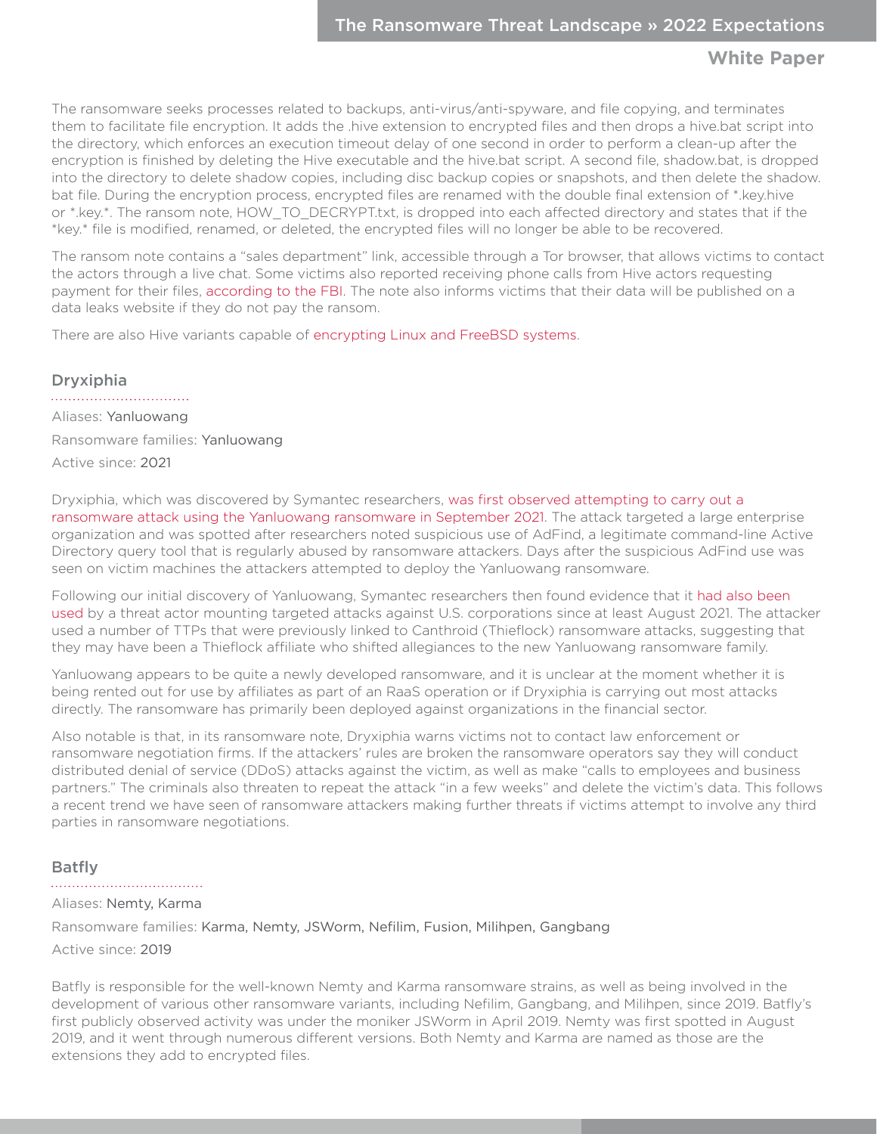<span id="page-10-0"></span>The ransomware seeks processes related to backups, anti-virus/anti-spyware, and file copying, and terminates them to facilitate file encryption. It adds the .hive extension to encrypted files and then drops a hive.bat script into the directory, which enforces an execution timeout delay of one second in order to perform a clean-up after the encryption is finished by deleting the Hive executable and the hive.bat script. A second file, shadow.bat, is dropped into the directory to delete shadow copies, including disc backup copies or snapshots, and then delete the shadow. bat file. During the encryption process, encrypted files are renamed with the double final extension of \*.key.hive or \*.key.\*. The ransom note, HOW\_TO\_DECRYPT.txt, is dropped into each affected directory and states that if the \*key.\* file is modified, renamed, or deleted, the encrypted files will no longer be able to be recovered.

The ransom note contains a "sales department" link, accessible through a Tor browser, that allows victims to contact the actors through a live chat. Some victims also reported receiving phone calls from Hive actors requesting payment for their files, [according to the FBI](https://www.documentcloud.org/documents/21049431-fbi-flash-hive-ransomware-iocs). The note also informs victims that their data will be published on a data leaks website if they do not pay the ransom.

There are also Hive variants capable of [encrypting Linux and FreeBSD systems.](https://www.bleepingcomputer.com/news/security/hive-ransomware-now-encrypts-linux-and-freebsd-systems/)

### Dryxiphia

Aliases: Yanluowang Ransomware families: Yanluowang Active since: 2021

Dryxiphia, which was discovered by Symantec researchers, [was first observed attempting to carry out a](https://symantec-enterprise-blogs.security.com/blogs/threat-intelligence/yanluowang-targeted-ransomware)  [ransomware attack using the Yanluowang ransomware in September 2021](https://symantec-enterprise-blogs.security.com/blogs/threat-intelligence/yanluowang-targeted-ransomware). The attack targeted a large enterprise organization and was spotted after researchers noted suspicious use of AdFind, a legitimate command-line Active Directory query tool that is regularly abused by ransomware attackers. Days after the suspicious AdFind use was seen on victim machines the attackers attempted to deploy the Yanluowang ransomware.

Following our initial discovery of Yanluowang, Symantec researchers then found evidence that it [had also been](https://symantec-enterprise-blogs.security.com/blogs/threat-intelligence/yanluowang-ransomware-attacks-continue)  [used](https://symantec-enterprise-blogs.security.com/blogs/threat-intelligence/yanluowang-ransomware-attacks-continue) by a threat actor mounting targeted attacks against U.S. corporations since at least August 2021. The attacker used a number of TTPs that were previously linked to Canthroid (Thieflock) ransomware attacks, suggesting that they may have been a Thieflock affiliate who shifted allegiances to the new Yanluowang ransomware family.

Yanluowang appears to be quite a newly developed ransomware, and it is unclear at the moment whether it is being rented out for use by affiliates as part of an RaaS operation or if Dryxiphia is carrying out most attacks directly. The ransomware has primarily been deployed against organizations in the financial sector.

Also notable is that, in its ransomware note, Dryxiphia warns victims not to contact law enforcement or ransomware negotiation firms. If the attackers' rules are broken the ransomware operators say they will conduct distributed denial of service (DDoS) attacks against the victim, as well as make "calls to employees and business partners." The criminals also threaten to repeat the attack "in a few weeks" and delete the victim's data. This follows a recent trend we have seen of ransomware attackers making further threats if victims attempt to involve any third parties in ransomware negotiations.

### Batfly

#### 

#### Aliases: Nemty, Karma

Ransomware families: Karma, Nemty, JSWorm, Nefilim, Fusion, Milihpen, Gangbang

Active since: 2019

Batfly is responsible for the well-known Nemty and Karma ransomware strains, as well as being involved in the development of various other ransomware variants, including Nefilim, Gangbang, and Milihpen, since 2019. Batfly's first publicly observed activity was under the moniker JSWorm in April 2019. Nemty was first spotted in August 2019, and it went through numerous different versions. Both Nemty and Karma are named as those are the extensions they add to encrypted files.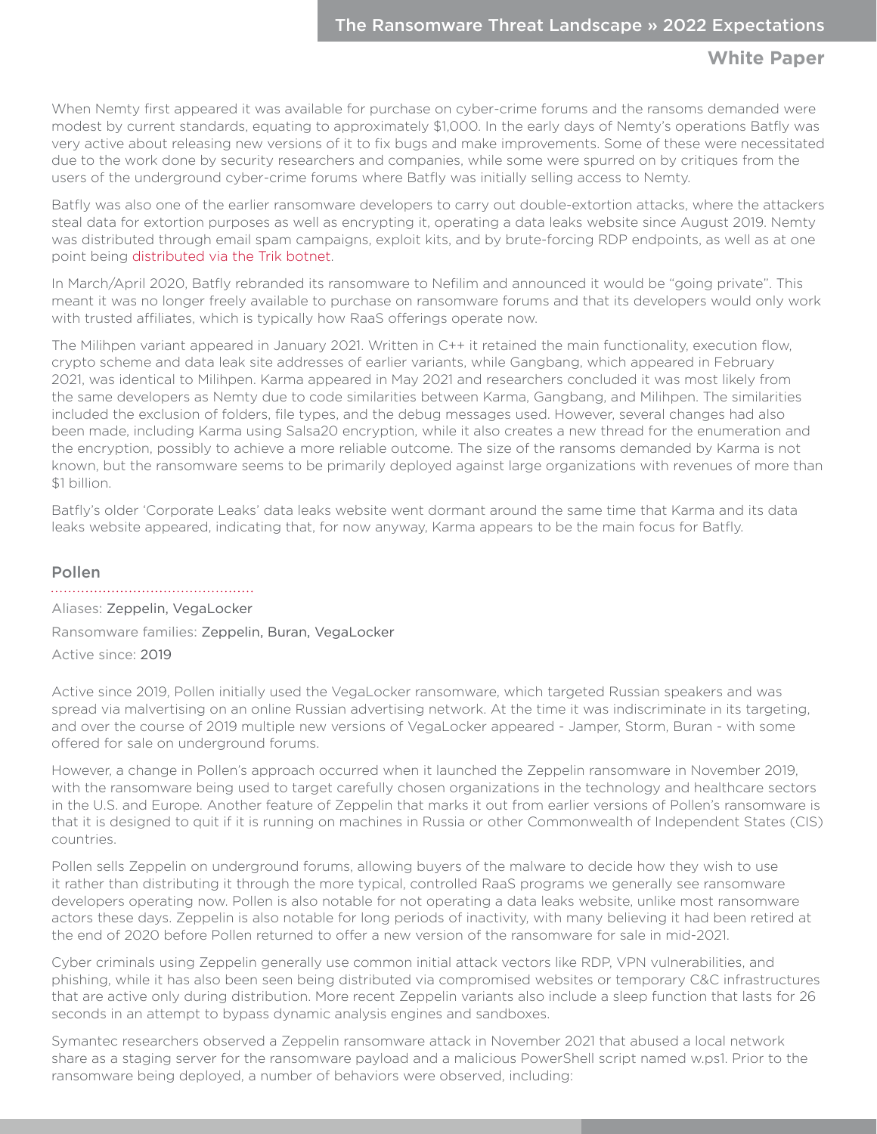<span id="page-11-0"></span>When Nemty first appeared it was available for purchase on cyber-crime forums and the ransoms demanded were modest by current standards, equating to approximately \$1,000. In the early days of Nemty's operations Batfly was very active about releasing new versions of it to fix bugs and make improvements. Some of these were necessitated due to the work done by security researchers and companies, while some were spurred on by critiques from the users of the underground cyber-crime forums where Batfly was initially selling access to Nemty.

Batfly was also one of the earlier ransomware developers to carry out double-extortion attacks, where the attackers steal data for extortion purposes as well as encrypting it, operating a data leaks website since August 2019. Nemty was distributed through email spam campaigns, exploit kits, and by brute-forcing RDP endpoints, as well as at one point being [distributed via the Trik botnet](https://symantec-enterprise-blogs.security.com/blogs/threat-intelligence/nemty-ransomware-trik-botnet).

In March/April 2020, Batfly rebranded its ransomware to Nefilim and announced it would be "going private". This meant it was no longer freely available to purchase on ransomware forums and that its developers would only work with trusted affiliates, which is typically how RaaS offerings operate now.

The Milihpen variant appeared in January 2021. Written in C++ it retained the main functionality, execution flow, crypto scheme and data leak site addresses of earlier variants, while Gangbang, which appeared in February 2021, was identical to Milihpen. Karma appeared in May 2021 and researchers concluded it was most likely from the same developers as Nemty due to code similarities between Karma, Gangbang, and Milihpen. The similarities included the exclusion of folders, file types, and the debug messages used. However, several changes had also been made, including Karma using Salsa20 encryption, while it also creates a new thread for the enumeration and the encryption, possibly to achieve a more reliable outcome. The size of the ransoms demanded by Karma is not known, but the ransomware seems to be primarily deployed against large organizations with revenues of more than \$1 billion.

Batfly's older 'Corporate Leaks' data leaks website went dormant around the same time that Karma and its data leaks website appeared, indicating that, for now anyway, Karma appears to be the main focus for Batfly.

## Pollen

Aliases: Zeppelin, VegaLocker Ransomware families: Zeppelin, Buran, VegaLocker Active since: 2019

Active since 2019, Pollen initially used the VegaLocker ransomware, which targeted Russian speakers and was spread via malvertising on an online Russian advertising network. At the time it was indiscriminate in its targeting, and over the course of 2019 multiple new versions of VegaLocker appeared - Jamper, Storm, Buran - with some offered for sale on underground forums.

However, a change in Pollen's approach occurred when it launched the Zeppelin ransomware in November 2019, with the ransomware being used to target carefully chosen organizations in the technology and healthcare sectors in the U.S. and Europe. Another feature of Zeppelin that marks it out from earlier versions of Pollen's ransomware is that it is designed to quit if it is running on machines in Russia or other Commonwealth of Independent States (CIS) countries.

Pollen sells Zeppelin on underground forums, allowing buyers of the malware to decide how they wish to use it rather than distributing it through the more typical, controlled RaaS programs we generally see ransomware developers operating now. Pollen is also notable for not operating a data leaks website, unlike most ransomware actors these days. Zeppelin is also notable for long periods of inactivity, with many believing it had been retired at the end of 2020 before Pollen returned to offer a new version of the ransomware for sale in mid-2021.

Cyber criminals using Zeppelin generally use common initial attack vectors like RDP, VPN vulnerabilities, and phishing, while it has also been seen being distributed via compromised websites or temporary C&C infrastructures that are active only during distribution. More recent Zeppelin variants also include a sleep function that lasts for 26 seconds in an attempt to bypass dynamic analysis engines and sandboxes.

Symantec researchers observed a Zeppelin ransomware attack in November 2021 that abused a local network share as a staging server for the ransomware payload and a malicious PowerShell script named w.ps1. Prior to the ransomware being deployed, a number of behaviors were observed, including: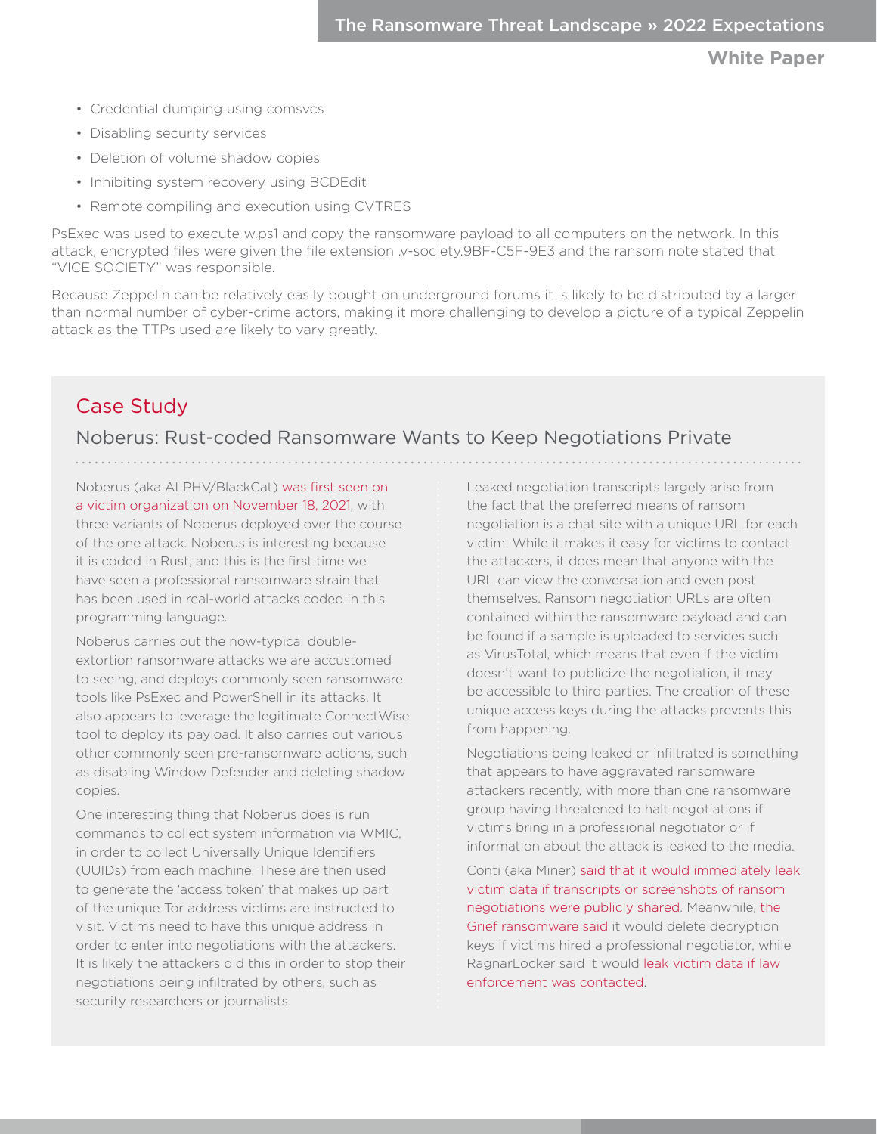- <span id="page-12-0"></span>• Credential dumping using comsvcs
- Disabling security services
- Deletion of volume shadow copies
- Inhibiting system recovery using BCDEdit
- Remote compiling and execution using CVTRES

PsExec was used to execute w.ps1 and copy the ransomware payload to all computers on the network. In this attack, encrypted files were given the file extension .v-society.9BF-C5F-9E3 and the ransom note stated that "VICE SOCIETY" was responsible.

Because Zeppelin can be relatively easily bought on underground forums it is likely to be distributed by a larger than normal number of cyber-crime actors, making it more challenging to develop a picture of a typical Zeppelin attack as the TTPs used are likely to vary greatly.

# Case Study

## Noberus: Rust-coded Ransomware Wants to Keep Negotiations Private

Noberus (aka ALPHV/BlackCat) [was first seen on](https://symantec-enterprise-blogs.security.com/blogs/threat-intelligence/noberus-blackcat-alphv-rust-ransomware)  [a victim organization on November 18, 2021,](https://symantec-enterprise-blogs.security.com/blogs/threat-intelligence/noberus-blackcat-alphv-rust-ransomware) with three variants of Noberus deployed over the course of the one attack. Noberus is interesting because it is coded in Rust, and this is the first time we have seen a professional ransomware strain that has been used in real-world attacks coded in this programming language.

Noberus carries out the now-typical doubleextortion ransomware attacks we are accustomed to seeing, and deploys commonly seen ransomware tools like PsExec and PowerShell in its attacks. It also appears to leverage the legitimate ConnectWise tool to deploy its payload. It also carries out various other commonly seen pre-ransomware actions, such as disabling Window Defender and deleting shadow copies.

One interesting thing that Noberus does is run commands to collect system information via WMIC, in order to collect Universally Unique Identifiers (UUIDs) from each machine. These are then used to generate the 'access token' that makes up part of the unique Tor address victims are instructed to visit. Victims need to have this unique address in order to enter into negotiations with the attackers. It is likely the attackers did this in order to stop their negotiations being infiltrated by others, such as security researchers or journalists.

Leaked negotiation transcripts largely arise from the fact that the preferred means of ransom negotiation is a chat site with a unique URL for each victim. While it makes it easy for victims to contact the attackers, it does mean that anyone with the URL can view the conversation and even post themselves. Ransom negotiation URLs are often contained within the ransomware payload and can be found if a sample is uploaded to services such as VirusTotal, which means that even if the victim doesn't want to publicize the negotiation, it may be accessible to third parties. The creation of these unique access keys during the attacks prevents this from happening.

Negotiations being leaked or infiltrated is something that appears to have aggravated ransomware attackers recently, with more than one ransomware group having threatened to halt negotiations if victims bring in a professional negotiator or if information about the attack is leaked to the media.

Conti (aka Miner) [said that it would immediately leak](https://therecord.media/conti-gang-threatens-to-dump-victim-data-if-ransom-negotiations-leak-to-reporters/)  [victim data if transcripts or screenshots of ransom](https://therecord.media/conti-gang-threatens-to-dump-victim-data-if-ransom-negotiations-leak-to-reporters/)  [negotiations were publicly shared.](https://therecord.media/conti-gang-threatens-to-dump-victim-data-if-ransom-negotiations-leak-to-reporters/) Meanwhile, [the](https://www.bleepingcomputer.com/news/security/ransomware-gang-threatens-to-wipe-decryption-key-if-negotiator-hired/)  [Grief ransomware said](https://www.bleepingcomputer.com/news/security/ransomware-gang-threatens-to-wipe-decryption-key-if-negotiator-hired/) it would delete decryption keys if victims hired a professional negotiator, while RagnarLocker said it would [leak victim data if law](https://www.bleepingcomputer.com/news/security/ransomware-gang-threatens-to-leak-data-if-victim-contacts-fbi-police/)  [enforcement was contacted.](https://www.bleepingcomputer.com/news/security/ransomware-gang-threatens-to-leak-data-if-victim-contacts-fbi-police/)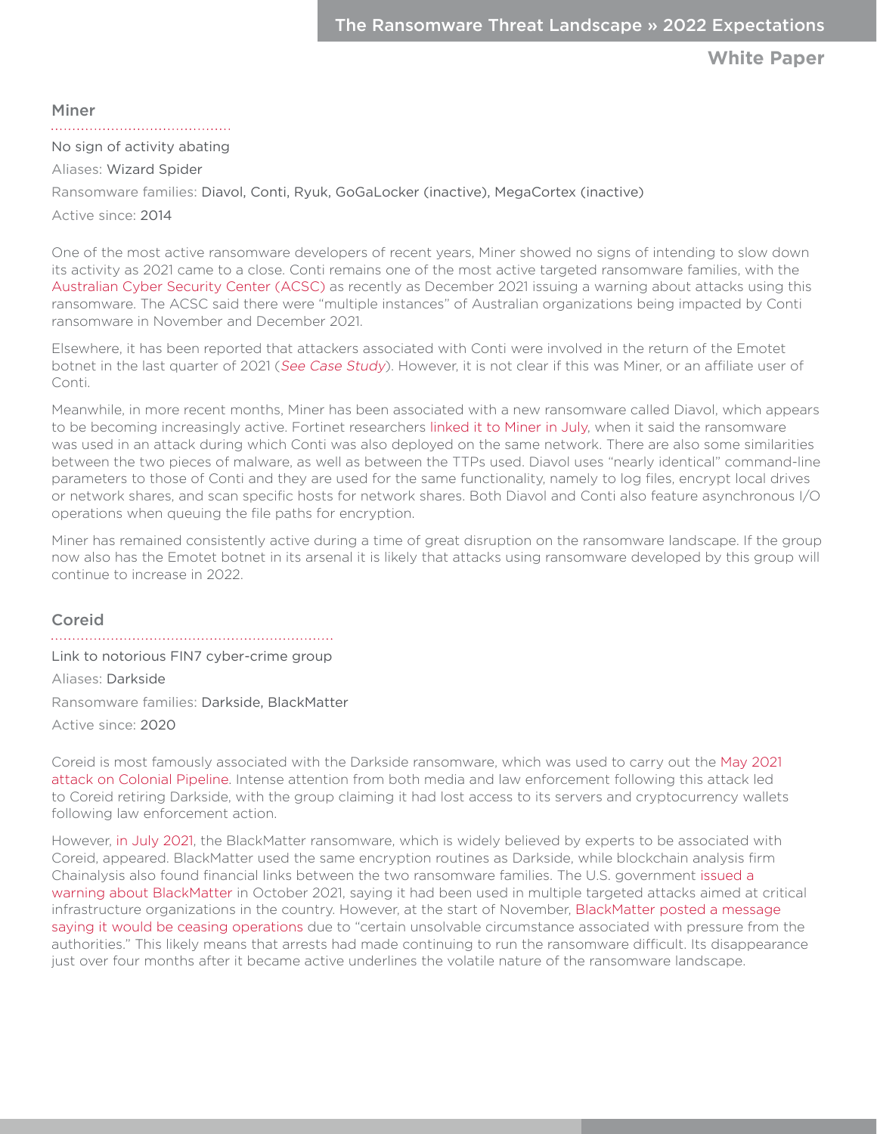<span id="page-13-0"></span>Miner

No sign of activity abating

Aliases: Wizard Spider

Ransomware families: Diavol, Conti, Ryuk, GoGaLocker (inactive), MegaCortex (inactive) Active since: 2014

One of the most active ransomware developers of recent years, Miner showed no signs of intending to slow down its activity as 2021 came to a close. Conti remains one of the most active targeted ransomware families, with the [Australian Cyber Security Center \(ACSC\)](https://www.bleepingcomputer.com/news/security/australian-govt-raises-alarm-over-conti-ransomware-attacks/) as recently as December 2021 issuing a warning about attacks using this ransomware. The ACSC said there were "multiple instances" of Australian organizations being impacted by Conti ransomware in November and December 2021.

Elsewhere, it has been reported that attackers associated with Conti were involved in the return of the Emotet botnet in the last quarter of 2021 ([See Case Study](#page-17-1)). However, it is not clear if this was Miner, or an affiliate user of Conti.

Meanwhile, in more recent months, Miner has been associated with a new ransomware called Diavol, which appears to be becoming increasingly active. Fortinet researchers [linked it to Miner in July](https://www.fortinet.com/blog/threat-research/diavol-new-ransomware-used-by-wizard-spider), when it said the ransomware was used in an attack during which Conti was also deployed on the same network. There are also some similarities between the two pieces of malware, as well as between the TTPs used. Diavol uses "nearly identical" command-line parameters to those of Conti and they are used for the same functionality, namely to log files, encrypt local drives or network shares, and scan specific hosts for network shares. Both Diavol and Conti also feature asynchronous I/O operations when queuing the file paths for encryption.

Miner has remained consistently active during a time of great disruption on the ransomware landscape. If the group now also has the Emotet botnet in its arsenal it is likely that attacks using ransomware developed by this group will continue to increase in 2022.

Coreid

Link to notorious FIN7 cyber-crime group

Aliases: Darkside Ransomware families: Darkside, BlackMatter

Active since: 2020

Coreid is most famously associated with the Darkside ransomware, which was used to carry out the [May 2021](https://www.cnbc.com/2021/05/08/colonial-pipeline-shuts-pipeline-operations-after-cyberattack.html)  [attack on Colonial Pipeline.](https://www.cnbc.com/2021/05/08/colonial-pipeline-shuts-pipeline-operations-after-cyberattack.html) Intense attention from both media and law enforcement following this attack led to Coreid retiring Darkside, with the group claiming it had lost access to its servers and cryptocurrency wallets following law enforcement action.

However, [in July 2021](https://www.bleepingcomputer.com/news/security/darkside-ransomware-gang-returns-as-new-blackmatter-operation/), the BlackMatter ransomware, which is widely believed by experts to be associated with Coreid, appeared. BlackMatter used the same encryption routines as Darkside, while blockchain analysis firm Chainalysis also found financial links between the two ransomware families. The U.S. government [issued a](https://us-cert.cisa.gov/ncas/alerts/aa21-291a)  [warning about BlackMatter](https://us-cert.cisa.gov/ncas/alerts/aa21-291a) in October 2021, saying it had been used in multiple targeted attacks aimed at critical infrastructure organizations in the country. However, at the start of November, [BlackMatter posted a message](https://www.bleepingcomputer.com/news/security/blackmatter-ransomware-claims-to-be-shutting-down-due-to-police-pressure/)  [saying it would be ceasing operations](https://www.bleepingcomputer.com/news/security/blackmatter-ransomware-claims-to-be-shutting-down-due-to-police-pressure/) due to "certain unsolvable circumstance associated with pressure from the authorities." This likely means that arrests had made continuing to run the ransomware difficult. Its disappearance just over four months after it became active underlines the volatile nature of the ransomware landscape.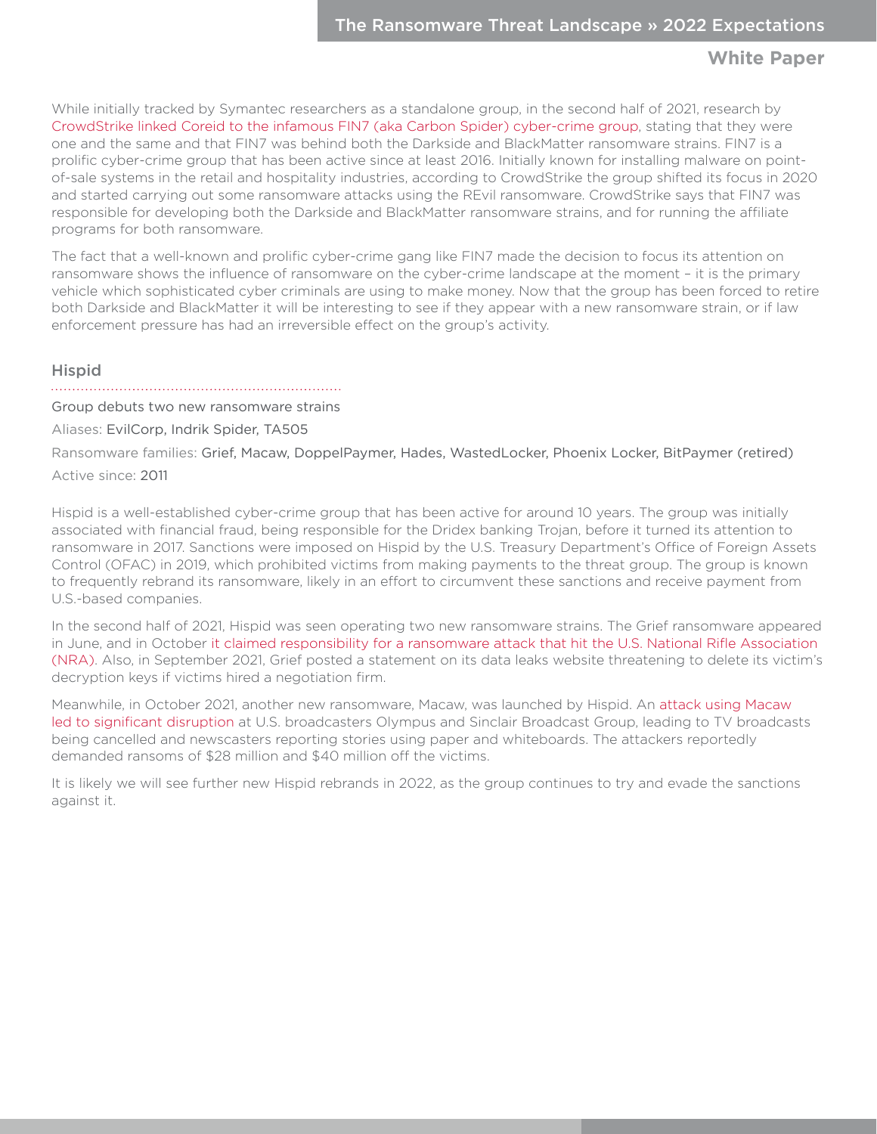<span id="page-14-0"></span>While initially tracked by Symantec researchers as a standalone group, in the second half of 2021, research by [CrowdStrike linked Coreid to the infamous FIN7 \(aka Carbon Spider\) cyber-crime group,](https://www.crowdstrike.com/blog/carbon-spider-embraces-big-game-hunting-part-1/) stating that they were one and the same and that FIN7 was behind both the Darkside and BlackMatter ransomware strains. FIN7 is a prolific cyber-crime group that has been active since at least 2016. Initially known for installing malware on pointof-sale systems in the retail and hospitality industries, according to CrowdStrike the group shifted its focus in 2020 and started carrying out some ransomware attacks using the REvil ransomware. CrowdStrike says that FIN7 was responsible for developing both the Darkside and BlackMatter ransomware strains, and for running the affiliate programs for both ransomware.

The fact that a well-known and prolific cyber-crime gang like FIN7 made the decision to focus its attention on ransomware shows the influence of ransomware on the cyber-crime landscape at the moment – it is the primary vehicle which sophisticated cyber criminals are using to make money. Now that the group has been forced to retire both Darkside and BlackMatter it will be interesting to see if they appear with a new ransomware strain, or if law enforcement pressure has had an irreversible effect on the group's activity.

## Hispid

Group debuts two new ransomware strains

Aliases: EvilCorp, Indrik Spider, TA505

Ransomware families: Grief, Macaw, DoppelPaymer, Hades, WastedLocker, Phoenix Locker, BitPaymer (retired) Active since: 2011

Hispid is a well-established cyber-crime group that has been active for around 10 years. The group was initially associated with financial fraud, being responsible for the Dridex banking Trojan, before it turned its attention to ransomware in 2017. Sanctions were imposed on Hispid by the U.S. Treasury Department's Office of Foreign Assets Control (OFAC) in 2019, which prohibited victims from making payments to the threat group. The group is known to frequently rebrand its ransomware, likely in an effort to circumvent these sanctions and receive payment from U.S.-based companies.

In the second half of 2021, Hispid was seen operating two new ransomware strains. The Grief ransomware appeared in June, and in October [it claimed responsibility for a ransomware attack that hit the U.S. National Rifle Association](https://www.forbes.com/sites/teakvetenadze/2021/10/27/russian-cyber-gang-grief-claims-ransomware-attack-on-nra/)  [\(NRA\)](https://www.forbes.com/sites/teakvetenadze/2021/10/27/russian-cyber-gang-grief-claims-ransomware-attack-on-nra/). Also, in September 2021, Grief posted a statement on its data leaks website threatening to delete its victim's decryption keys if victims hired a negotiation firm.

Meanwhile, in October 2021, another new ransomware, Macaw, was launched by Hispid. An [attack using Macaw](https://www.bloomberg.com/news/articles/2021-10-20/sinclair-broadcast-hack-linked-to-notorious-russian-cybergang)  [led to significant disruption](https://www.bloomberg.com/news/articles/2021-10-20/sinclair-broadcast-hack-linked-to-notorious-russian-cybergang) at U.S. broadcasters Olympus and Sinclair Broadcast Group, leading to TV broadcasts being cancelled and newscasters reporting stories using paper and whiteboards. The attackers reportedly demanded ransoms of \$28 million and \$40 million off the victims.

It is likely we will see further new Hispid rebrands in 2022, as the group continues to try and evade the sanctions against it.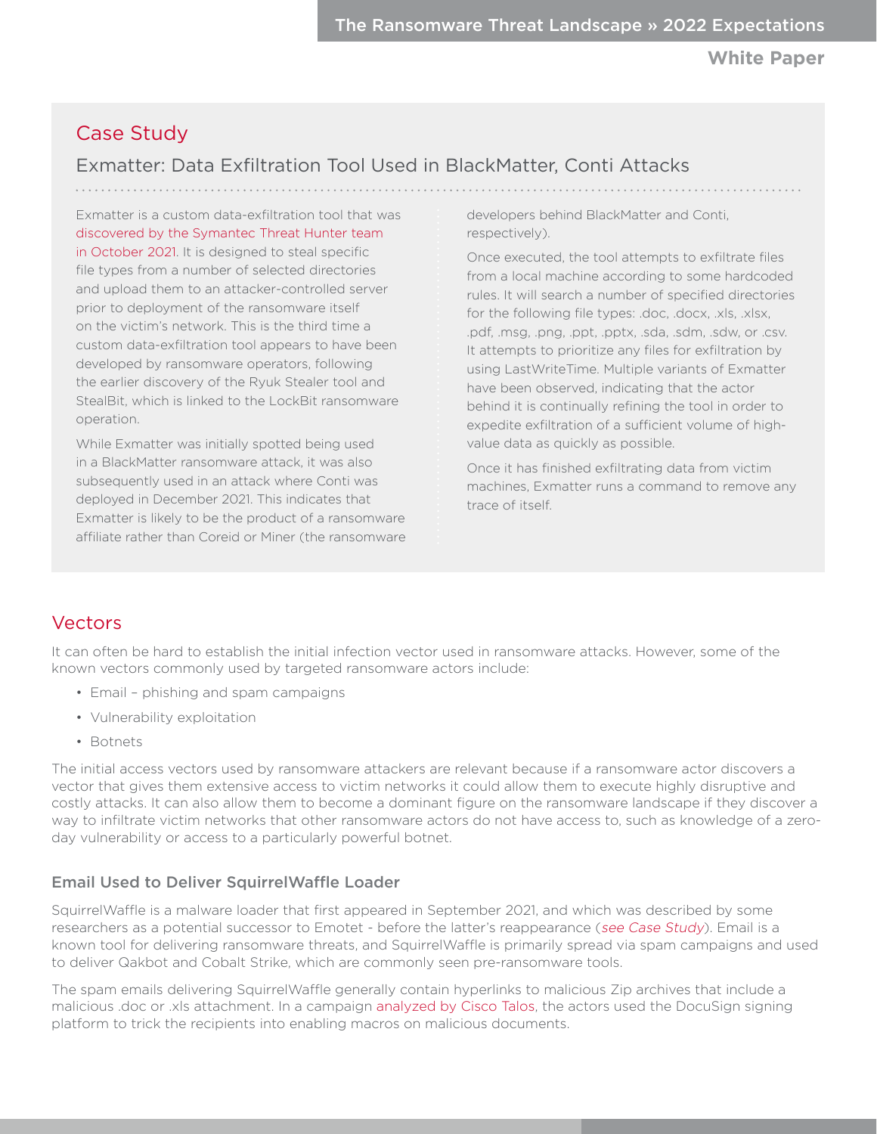# <span id="page-15-0"></span>Case Study

# Exmatter: Data Exfiltration Tool Used in BlackMatter, Conti Attacks

Exmatter is a custom data-exfiltration tool that was [discovered by the Symantec Threat Hunter team](https://symantec-enterprise-blogs.security.com/blogs/threat-intelligence/blackmatter-data-exfiltration)  [in October 2021](https://symantec-enterprise-blogs.security.com/blogs/threat-intelligence/blackmatter-data-exfiltration). It is designed to steal specific file types from a number of selected directories and upload them to an attacker-controlled server prior to deployment of the ransomware itself on the victim's network. This is the third time a custom data-exfiltration tool appears to have been developed by ransomware operators, following the earlier discovery of the Ryuk Stealer tool and StealBit, which is linked to the LockBit ransomware operation.

While Exmatter was initially spotted being used in a BlackMatter ransomware attack, it was also subsequently used in an attack where Conti was deployed in December 2021. This indicates that Exmatter is likely to be the product of a ransomware affiliate rather than Coreid or Miner (the ransomware developers behind BlackMatter and Conti, respectively).

Once executed, the tool attempts to exfiltrate files from a local machine according to some hardcoded rules. It will search a number of specified directories for the following file types: .doc, .docx, .xls, .xlsx, .pdf, .msg, .png, .ppt, .pptx, .sda, .sdm, .sdw, or .csv. It attempts to prioritize any files for exfiltration by using LastWriteTime. Multiple variants of Exmatter have been observed, indicating that the actor behind it is continually refining the tool in order to expedite exfiltration of a sufficient volume of highvalue data as quickly as possible.

Once it has finished exfiltrating data from victim machines, Exmatter runs a command to remove any trace of itself.

# Vectors

It can often be hard to establish the initial infection vector used in ransomware attacks. However, some of the known vectors commonly used by targeted ransomware actors include:

- Email phishing and spam campaigns
- Vulnerability exploitation
- Botnets

The initial access vectors used by ransomware attackers are relevant because if a ransomware actor discovers a vector that gives them extensive access to victim networks it could allow them to execute highly disruptive and costly attacks. It can also allow them to become a dominant figure on the ransomware landscape if they discover a way to infiltrate victim networks that other ransomware actors do not have access to, such as knowledge of a zeroday vulnerability or access to a particularly powerful botnet.

## Email Used to Deliver SquirrelWaffle Loader

SquirrelWaffle is a malware loader that first appeared in September 2021, and which was described by some researchers as a potential successor to Emotet - before the latter's reappearance ([see Case Study](#page-17-2)). Email is a known tool for delivering ransomware threats, and SquirrelWaffle is primarily spread via spam campaigns and used to deliver Qakbot and Cobalt Strike, which are commonly seen pre-ransomware tools.

The spam emails delivering SquirrelWaffle generally contain hyperlinks to malicious Zip archives that include a malicious .doc or .xls attachment. In a campaign [analyzed by Cisco Talos,](https://blog.talosintelligence.com/2021/10/squirrelwaffle-emerges.html) the actors used the DocuSign signing platform to trick the recipients into enabling macros on malicious documents.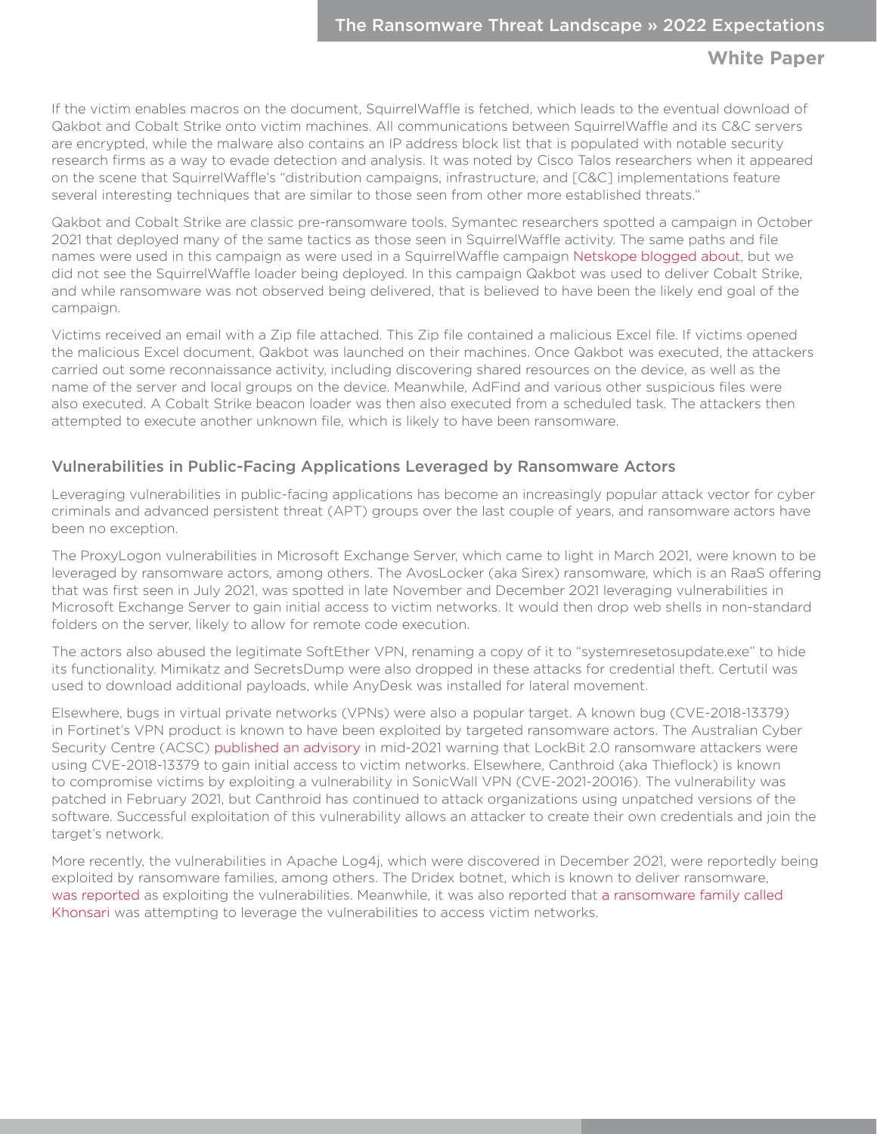<span id="page-16-0"></span>If the victim enables macros on the document, SquirrelWaffle is fetched, which leads to the eventual download of Qakbot and Cobalt Strike onto victim machines. All communications between SquirrelWaffle and its C&C servers are encrypted, while the malware also contains an IP address block list that is populated with notable security research firms as a way to evade detection and analysis. It was noted by Cisco Talos researchers when it appeared on the scene that SquirrelWaffle's "distribution campaigns, infrastructure, and [C&C] implementations feature several interesting techniques that are similar to those seen from other more established threats."

Qakbot and Cobalt Strike are classic pre-ransomware tools. Symantec researchers spotted a campaign in October 2021 that deployed many of the same tactics as those seen in SquirrelWaffle activity. The same paths and file names were used in this campaign as were used in a SquirrelWaffle campaign [Netskope blogged about](https://www.netskope.com/blog/squirrelwaffle-new-malware-loader-delivering-cobalt-strike-and-qakbot), but we did not see the SquirrelWaffle loader being deployed. In this campaign Qakbot was used to deliver Cobalt Strike, and while ransomware was not observed being delivered, that is believed to have been the likely end goal of the campaign.

Victims received an email with a Zip file attached. This Zip file contained a malicious Excel file. If victims opened the malicious Excel document, Qakbot was launched on their machines. Once Qakbot was executed, the attackers carried out some reconnaissance activity, including discovering shared resources on the device, as well as the name of the server and local groups on the device. Meanwhile, AdFind and various other suspicious files were also executed. A Cobalt Strike beacon loader was then also executed from a scheduled task. The attackers then attempted to execute another unknown file, which is likely to have been ransomware.

## Vulnerabilities in Public-Facing Applications Leveraged by Ransomware Actors

Leveraging vulnerabilities in public-facing applications has become an increasingly popular attack vector for cyber criminals and advanced persistent threat (APT) groups over the last couple of years, and ransomware actors have been no exception.

The ProxyLogon vulnerabilities in Microsoft Exchange Server, which came to light in March 2021, were known to be leveraged by ransomware actors, among others. The AvosLocker (aka Sirex) ransomware, which is an RaaS offering that was first seen in July 2021, was spotted in late November and December 2021 leveraging vulnerabilities in Microsoft Exchange Server to gain initial access to victim networks. It would then drop web shells in non-standard folders on the server, likely to allow for remote code execution.

The actors also abused the legitimate SoftEther VPN, renaming a copy of it to "systemresetosupdate.exe" to hide its functionality. Mimikatz and SecretsDump were also dropped in these attacks for credential theft. Certutil was used to download additional payloads, while AnyDesk was installed for lateral movement.

Elsewhere, bugs in virtual private networks (VPNs) were also a popular target. A known bug (CVE-2018-13379) in Fortinet's VPN product is known to have been exploited by targeted ransomware actors. The Australian Cyber Security Centre (ACSC) [published an advisory](https://www.cyber.gov.au/acsc/view-all-content/alerts/lockbit-20-ransomware-incidents-australia) in mid-2021 warning that LockBit 2.0 ransomware attackers were using CVE-2018-13379 to gain initial access to victim networks. Elsewhere, Canthroid (aka Thieflock) is known to compromise victims by exploiting a vulnerability in SonicWall VPN (CVE-2021-20016). The vulnerability was patched in February 2021, but Canthroid has continued to attack organizations using unpatched versions of the software. Successful exploitation of this vulnerability allows an attacker to create their own credentials and join the target's network.

More recently, the vulnerabilities in Apache Log4j, which were discovered in December 2021, were reportedly being exploited by ransomware families, among others. The Dridex botnet, which is known to deliver ransomware, [was reported](https://twitter.com/vxunderground/status/1473091815163273221) as exploiting the vulnerabilities. Meanwhile, it was also reported that [a ransomware family called](https://businessinsights.bitdefender.com/technical-advisory-zero-day-critical-vulnerability-in-log4j2-exploited-in-the-wild)  [Khonsari](https://businessinsights.bitdefender.com/technical-advisory-zero-day-critical-vulnerability-in-log4j2-exploited-in-the-wild) was attempting to leverage the vulnerabilities to access victim networks.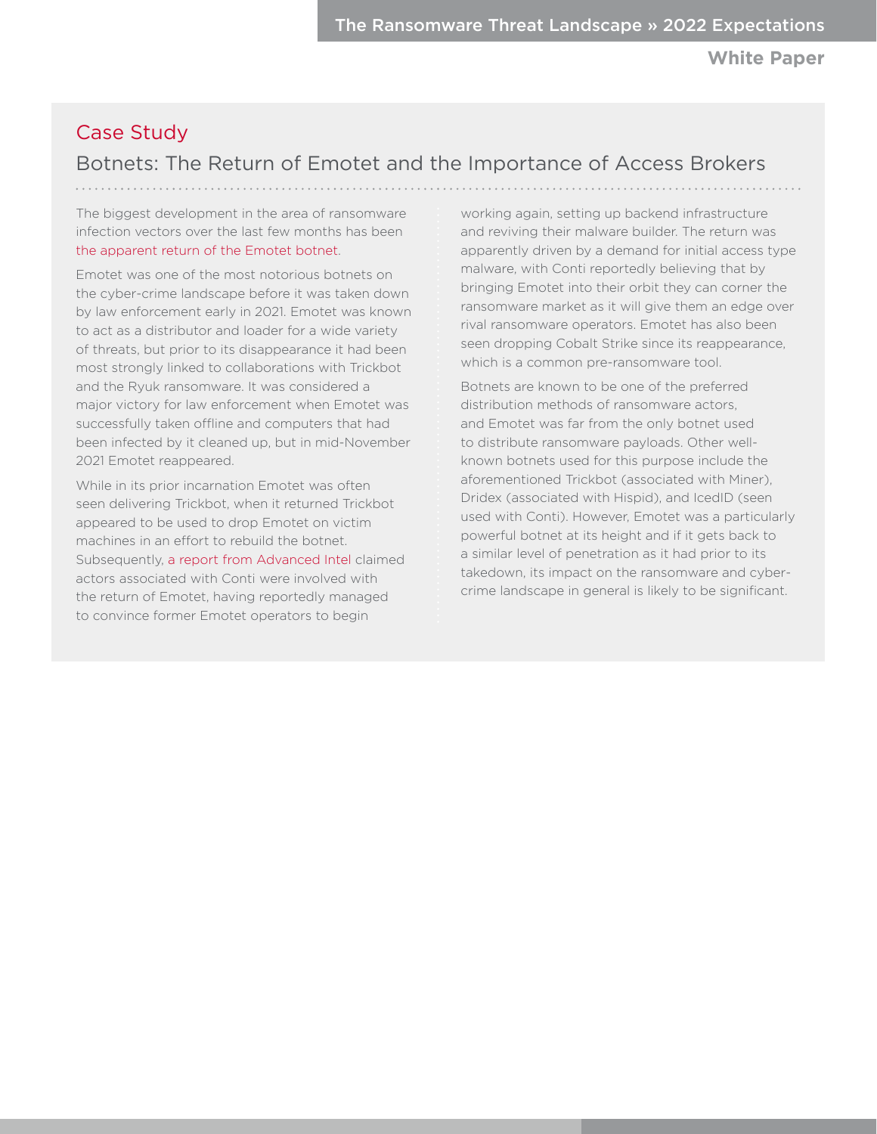**White Paper**

# <span id="page-17-1"></span><span id="page-17-0"></span>Case Study

# Botnets: The Return of Emotet and the Importance of Access Brokers

The biggest development in the area of ransomware infection vectors over the last few months has been [the apparent return of the Emotet botnet](https://www.bleepingcomputer.com/news/security/emotet-malware-is-back-and-rebuilding-its-botnet-via-trickbot/).

Emotet was one of the most notorious botnets on the cyber-crime landscape before it was taken down by law enforcement early in 2021. Emotet was known to act as a distributor and loader for a wide variety of threats, but prior to its disappearance it had been most strongly linked to collaborations with Trickbot and the Ryuk ransomware. It was considered a major victory for law enforcement when Emotet was successfully taken offline and computers that had been infected by it cleaned up, but in mid-November 2021 Emotet reappeared.

<span id="page-17-2"></span>While in its prior incarnation Emotet was often seen delivering Trickbot, when it returned Trickbot appeared to be used to drop Emotet on victim machines in an effort to rebuild the botnet. Subsequently, [a report from Advanced Intel](https://www.advintel.io/post/corporate-loader-emotet-history-of-x-project-return-for-ransomware) claimed actors associated with Conti were involved with the return of Emotet, having reportedly managed to convince former Emotet operators to begin

working again, setting up backend infrastructure and reviving their malware builder. The return was apparently driven by a demand for initial access type malware, with Conti reportedly believing that by bringing Emotet into their orbit they can corner the ransomware market as it will give them an edge over rival ransomware operators. Emotet has also been seen dropping Cobalt Strike since its reappearance, which is a common pre-ransomware tool.

Botnets are known to be one of the preferred distribution methods of ransomware actors. and Emotet was far from the only botnet used to distribute ransomware payloads. Other wellknown botnets used for this purpose include the aforementioned Trickbot (associated with Miner), Dridex (associated with Hispid), and IcedID (seen used with Conti). However, Emotet was a particularly powerful botnet at its height and if it gets back to a similar level of penetration as it had prior to its takedown, its impact on the ransomware and cybercrime landscape in general is likely to be significant.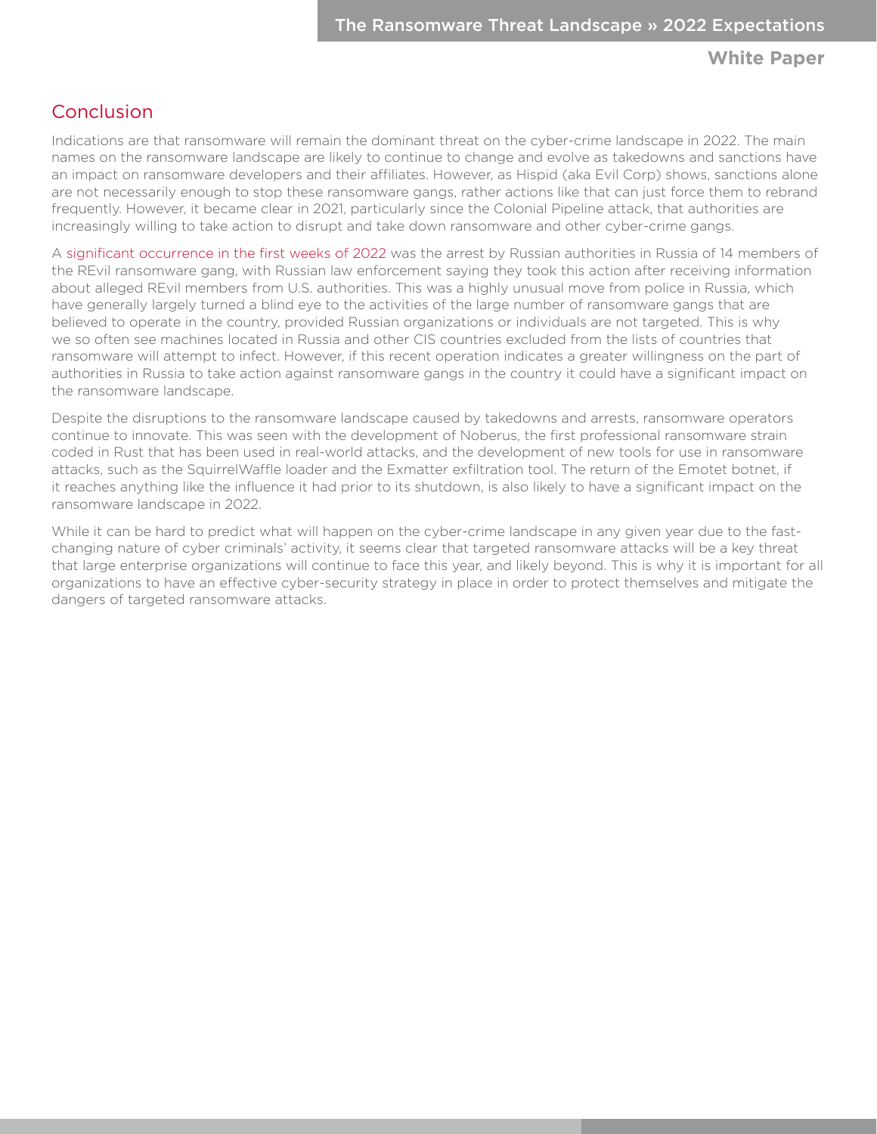## Conclusion

Indications are that ransomware will remain the dominant threat on the cyber-crime landscape in 2022. The main names on the ransomware landscape are likely to continue to change and evolve as takedowns and sanctions have an impact on ransomware developers and their affiliates. However, as Hispid (aka Evil Corp) shows, sanctions alone are not necessarily enough to stop these ransomware gangs, rather actions like that can just force them to rebrand frequently. However, it became clear in 2021, particularly since the Colonial Pipeline attack, that authorities are increasingly willing to take action to disrupt and take down ransomware and other cyber-crime gangs.

A [significant occurrence in the first weeks of 2022](https://www.zdnet.com/article/russian-authorities-take-down-revil-ransomware-gang/) was the arrest by Russian authorities in Russia of 14 members of the REvil ransomware gang, with Russian law enforcement saying they took this action after receiving information about alleged REvil members from U.S. authorities. This was a highly unusual move from police in Russia, which have generally largely turned a blind eye to the activities of the large number of ransomware gangs that are believed to operate in the country, provided Russian organizations or individuals are not targeted. This is why we so often see machines located in Russia and other CIS countries excluded from the lists of countries that ransomware will attempt to infect. However, if this recent operation indicates a greater willingness on the part of authorities in Russia to take action against ransomware gangs in the country it could have a significant impact on the ransomware landscape.

Despite the disruptions to the ransomware landscape caused by takedowns and arrests, ransomware operators continue to innovate. This was seen with the development of Noberus, the first professional ransomware strain coded in Rust that has been used in real-world attacks, and the development of new tools for use in ransomware attacks, such as the SquirrelWaffle loader and the Exmatter exfiltration tool. The return of the Emotet botnet, if it reaches anything like the influence it had prior to its shutdown, is also likely to have a significant impact on the ransomware landscape in 2022.

While it can be hard to predict what will happen on the cyber-crime landscape in any given year due to the fastchanging nature of cyber criminals' activity, it seems clear that targeted ransomware attacks will be a key threat that large enterprise organizations will continue to face this year, and likely beyond. This is why it is important for all organizations to have an effective cyber-security strategy in place in order to protect themselves and mitigate the dangers of targeted ransomware attacks.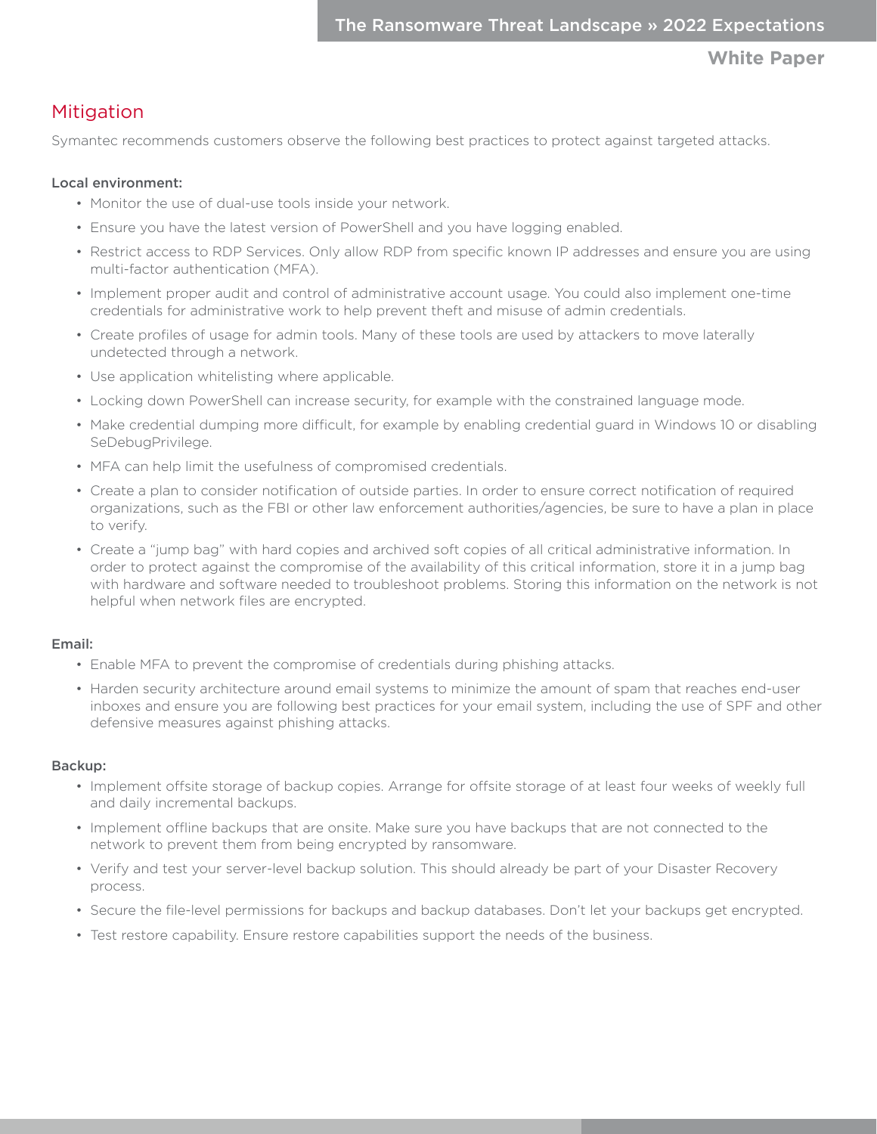# <span id="page-19-0"></span>**Mitigation**

Symantec recommends customers observe the following best practices to protect against targeted attacks.

## Local environment:

- Monitor the use of dual-use tools inside your network.
- Ensure you have the latest version of PowerShell and you have logging enabled.
- Restrict access to RDP Services. Only allow RDP from specific known IP addresses and ensure you are using multi-factor authentication (MFA).
- Implement proper audit and control of administrative account usage. You could also implement one-time credentials for administrative work to help prevent theft and misuse of admin credentials.
- Create profiles of usage for admin tools. Many of these tools are used by attackers to move laterally undetected through a network.
- Use application whitelisting where applicable.
- Locking down PowerShell can increase security, for example with the constrained language mode.
- Make credential dumping more difficult, for example by enabling credential guard in Windows 10 or disabling SeDebugPrivilege.
- MFA can help limit the usefulness of compromised credentials.
- Create a plan to consider notification of outside parties. In order to ensure correct notification of required organizations, such as the FBI or other law enforcement authorities/agencies, be sure to have a plan in place to verify.
- Create a "jump bag" with hard copies and archived soft copies of all critical administrative information. In order to protect against the compromise of the availability of this critical information, store it in a jump bag with hardware and software needed to troubleshoot problems. Storing this information on the network is not helpful when network files are encrypted.

### Email:

- Enable MFA to prevent the compromise of credentials during phishing attacks.
- Harden security architecture around email systems to minimize the amount of spam that reaches end-user inboxes and ensure you are following best practices for your email system, including the use of SPF and other defensive measures against phishing attacks.

### Backup:

- Implement offsite storage of backup copies. Arrange for offsite storage of at least four weeks of weekly full and daily incremental backups.
- Implement offline backups that are onsite. Make sure you have backups that are not connected to the network to prevent them from being encrypted by ransomware.
- Verify and test your server-level backup solution. This should already be part of your Disaster Recovery process.
- Secure the file-level permissions for backups and backup databases. Don't let your backups get encrypted.
- Test restore capability. Ensure restore capabilities support the needs of the business.